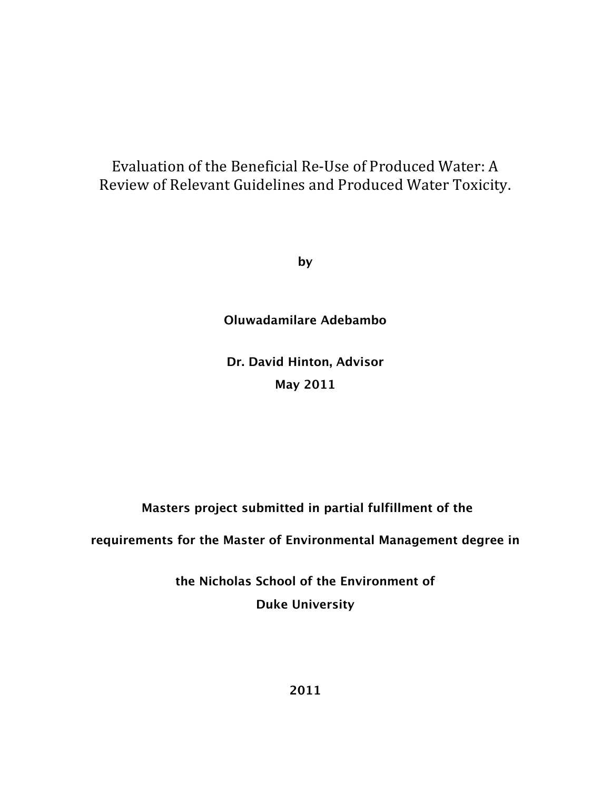# Evaluation of the Beneficial Re-Use of Produced Water: A Review of Relevant Guidelines and Produced Water Toxicity.

**by**

# **Oluwadamilare Adebambo**

**Dr. David Hinton, Advisor May 2011**

**Masters project submitted in partial fulfillment of the**

**requirements for the Master of Environmental Management degree in**

**the Nicholas School of the Environment of Duke University**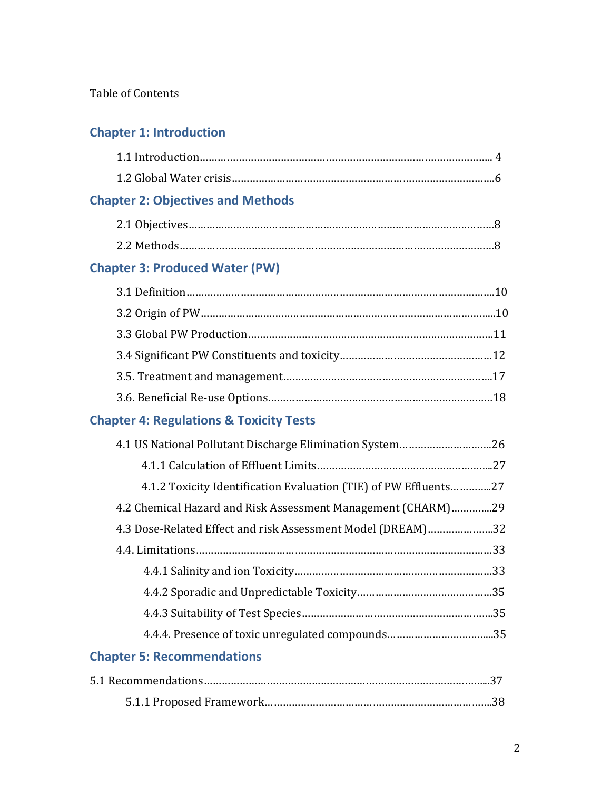# Table of Contents

# **Chapter 1: Introduction**

# **Chapter 2: Objectives and Methods**

# **Chapter 3: Produced Water (PW)**

# **Chapter 4: Regulations & Toxicity Tests**

| 4.1 US National Pollutant Discharge Elimination System26         |  |
|------------------------------------------------------------------|--|
|                                                                  |  |
| 4.1.2 Toxicity Identification Evaluation (TIE) of PW Effluents27 |  |
| 4.2 Chemical Hazard and Risk Assessment Management (CHARM)29     |  |
| 4.3 Dose-Related Effect and risk Assessment Model (DREAM)32      |  |
|                                                                  |  |
|                                                                  |  |
|                                                                  |  |
|                                                                  |  |
|                                                                  |  |
| <b>Chapter 5: Recommendations</b>                                |  |
|                                                                  |  |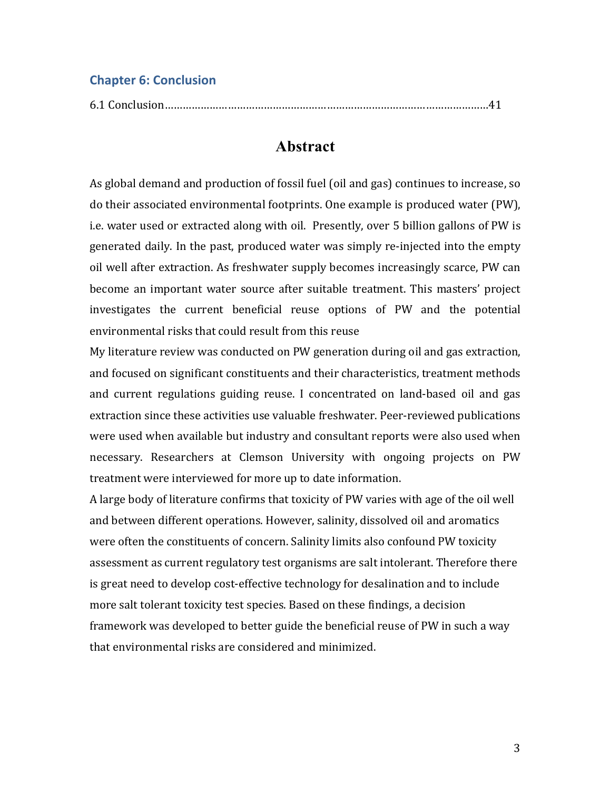# **Chapter 6: Conclusion**

|--|--|--|

# **Abstract**

As global demand and production of fossil fuel (oil and gas) continues to increase, so do their associated environmental footprints. One example is produced water (PW), i.e. water used or extracted along with oil. Presently, over 5 billion gallons of PW is generated daily. In the past, produced water was simply re-injected into the empty oil well after extraction. As freshwater supply becomes increasingly scarce, PW can become an important water source after suitable treatment. This masters' project investigates the current beneficial reuse options of PW and the potential environmental risks that could result from this reuse

My literature review was conducted on PW generation during oil and gas extraction, and focused on significant constituents and their characteristics, treatment methods and current regulations guiding reuse. I concentrated on land-based oil and gas extraction since these activities use valuable freshwater. Peer-reviewed publications were used when available but industry and consultant reports were also used when necessary. Researchers at Clemson University with ongoing projects on PW treatment were interviewed for more up to date information.

A large body of literature confirms that toxicity of PW varies with age of the oil well and between different operations. However, salinity, dissolved oil and aromatics were often the constituents of concern. Salinity limits also confound PW toxicity assessment as current regulatory test organisms are salt intolerant. Therefore there is great need to develop cost-effective technology for desalination and to include more salt tolerant toxicity test species. Based on these findings, a decision framework was developed to better guide the beneficial reuse of PW in such a way that environmental risks are considered and minimized.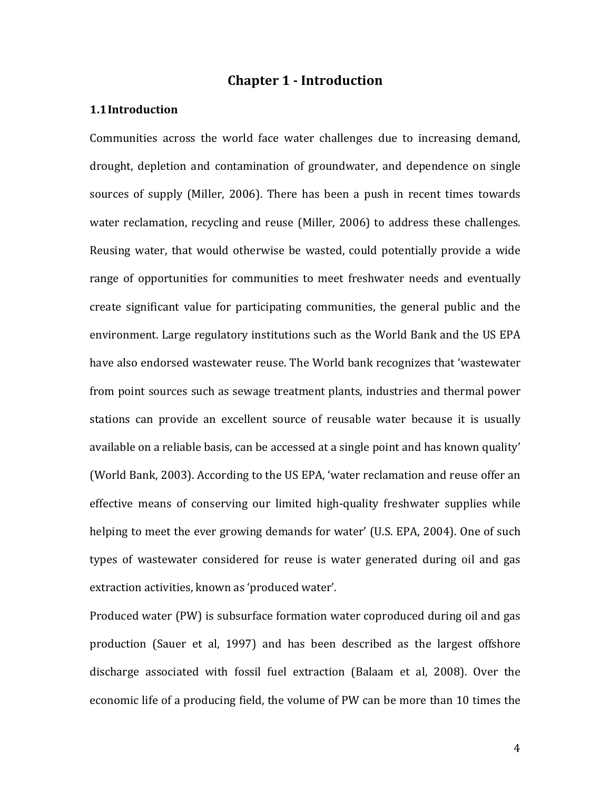# **Chapter 1 - Introduction**

## **1.1Introduction**

Communities across the world face water challenges due to increasing demand, drought, depletion and contamination of groundwater, and dependence on single sources of supply (Miller, 2006). There has been a push in recent times towards water reclamation, recycling and reuse (Miller, 2006) to address these challenges. Reusing water, that would otherwise be wasted, could potentially provide a wide range of opportunities for communities to meet freshwater needs and eventually create significant value for participating communities, the general public and the environment. Large regulatory institutions such as the World Bank and the US EPA have also endorsed wastewater reuse. The World bank recognizes that 'wastewater from point sources such as sewage treatment plants, industries and thermal power stations can provide an excellent source of reusable water because it is usually available on a reliable basis, can be accessed at a single point and has known quality' (World Bank, 2003). According to the US EPA, 'water reclamation and reuse offer an effective means of conserving our limited high-quality freshwater supplies while helping to meet the ever growing demands for water' (U.S. EPA, 2004). One of such types of wastewater considered for reuse is water generated during oil and gas extraction activities, known as 'produced water'.

Produced water (PW) is subsurface formation water coproduced during oil and gas production (Sauer et al, 1997) and has been described as the largest offshore discharge associated with fossil fuel extraction (Balaam et al, 2008). Over the economic life of a producing field, the volume of PW can be more than 10 times the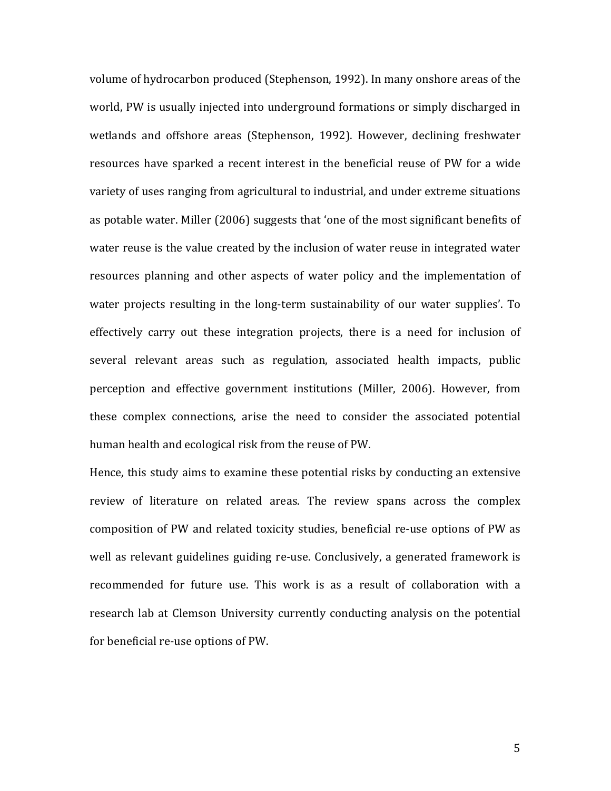volume of hydrocarbon produced (Stephenson, 1992). In many onshore areas of the world, PW is usually injected into underground formations or simply discharged in wetlands and offshore areas (Stephenson, 1992). However, declining freshwater resources have sparked a recent interest in the beneficial reuse of PW for a wide variety of uses ranging from agricultural to industrial, and under extreme situations as potable water. Miller (2006) suggests that 'one of the most significant benefits of water reuse is the value created by the inclusion of water reuse in integrated water resources planning and other aspects of water policy and the implementation of water projects resulting in the long-term sustainability of our water supplies'. To effectively carry out these integration projects, there is a need for inclusion of several relevant areas such as regulation, associated health impacts, public perception and effective government institutions (Miller, 2006). However, from these complex connections, arise the need to consider the associated potential human health and ecological risk from the reuse of PW.

Hence, this study aims to examine these potential risks by conducting an extensive review of literature on related areas. The review spans across the complex composition of PW and related toxicity studies, beneficial re-use options of PW as well as relevant guidelines guiding re-use. Conclusively, a generated framework is recommended for future use. This work is as a result of collaboration with a research lab at Clemson University currently conducting analysis on the potential for beneficial re-use options of PW.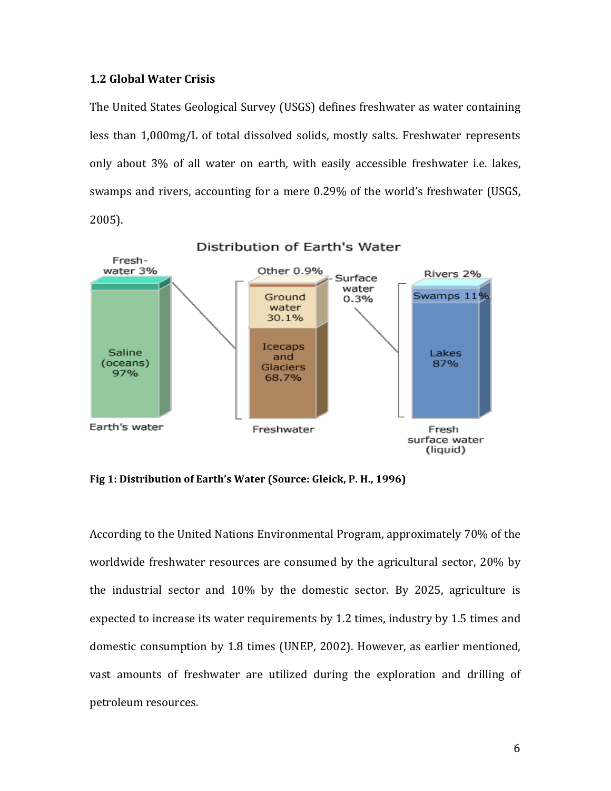## **1.2 Global Water Crisis**

The United States Geological Survey (USGS) defines freshwater as water containing less than 1,000mg/L of total dissolved solids, mostly salts. Freshwater represents only about 3% of all water on earth, with easily accessible freshwater *i.e.* lakes, swamps and rivers, accounting for a mere 0.29% of the world's freshwater (USGS,  $2005$ ).



Fig 1: Distribution of Earth's Water (Source: Gleick, P. H., 1996)

According to the United Nations Environmental Program, approximately 70% of the worldwide freshwater resources are consumed by the agricultural sector, 20% by the industrial sector and  $10\%$  by the domestic sector. By 2025, agriculture is expected to increase its water requirements by 1.2 times, industry by 1.5 times and domestic consumption by 1.8 times (UNEP, 2002). However, as earlier mentioned, vast amounts of freshwater are utilized during the exploration and drilling of petroleum resources.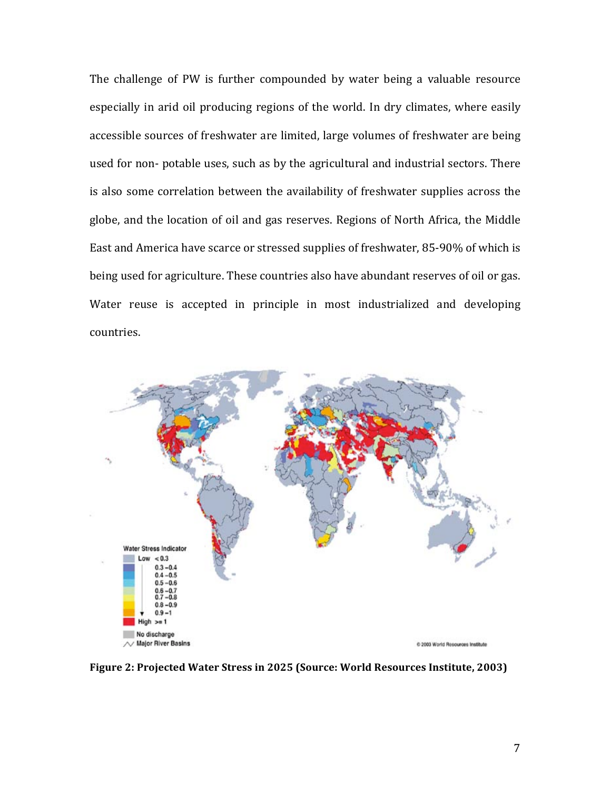The challenge of PW is further compounded by water being a valuable resource especially in arid oil producing regions of the world. In dry climates, where easily accessible sources of freshwater are limited, large volumes of freshwater are being used for non- potable uses, such as by the agricultural and industrial sectors. There is also some correlation between the availability of freshwater supplies across the globe, and the location of oil and gas reserves. Regions of North Africa, the Middle East and America have scarce or stressed supplies of freshwater, 85-90% of which is being used for agriculture. These countries also have abundant reserves of oil or gas. Water reuse is accepted in principle in most industrialized and developing countries.



Figure 2: Projected Water Stress in 2025 (Source: World Resources Institute, 2003)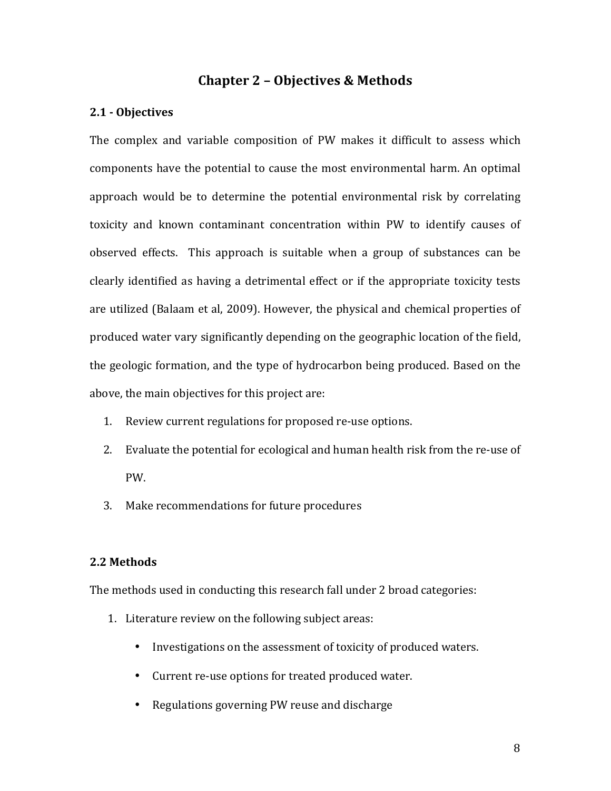# **Chapter 2 - Objectives & Methods**

## **2.1!\* Objectives**

The complex and variable composition of PW makes it difficult to assess which components have the potential to cause the most environmental harm. An optimal approach would be to determine the potential environmental risk by correlating toxicity and known contaminant concentration within PW to identify causes of observed effects. This approach is suitable when a group of substances can be clearly identified as having a detrimental effect or if the appropriate toxicity tests are utilized (Balaam et al, 2009). However, the physical and chemical properties of produced water vary significantly depending on the geographic location of the field, the geologic formation, and the type of hydrocarbon being produced. Based on the above, the main objectives for this project are:

- 1. Review current regulations for proposed re-use options.
- 2. Evaluate the potential for ecological and human health risk from the re-use of PW.
- 3. Make recommendations for future procedures

#### **2.2!Methods**

The methods used in conducting this research fall under 2 broad categories:

- 1. Literature review on the following subject areas:
	- Investigations on the assessment of toxicity of produced waters.
	- Current re-use options for treated produced water.
	- Regulations governing PW reuse and discharge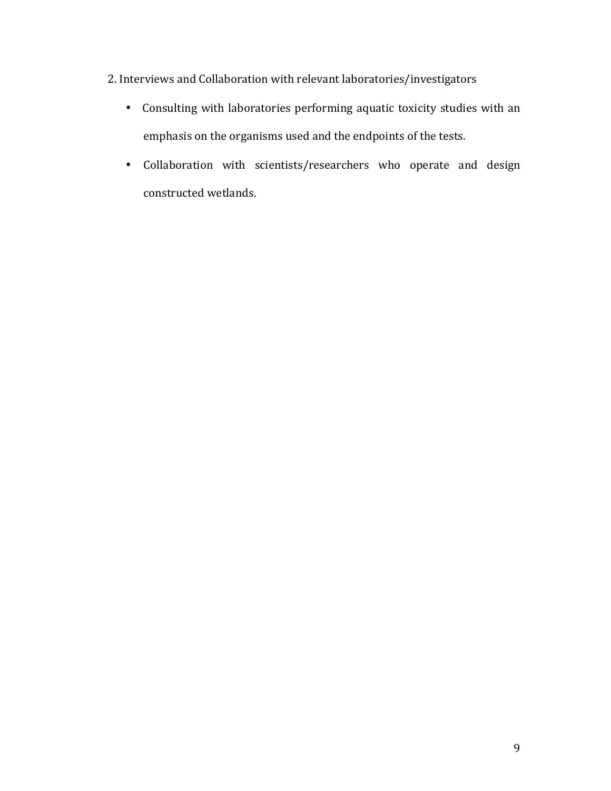2. Interviews and Collaboration with relevant laboratories/investigators

- Consulting with laboratories performing aquatic toxicity studies with an emphasis on the organisms used and the endpoints of the tests.
- Collaboration with scientists/researchers who operate and design constructed wetlands.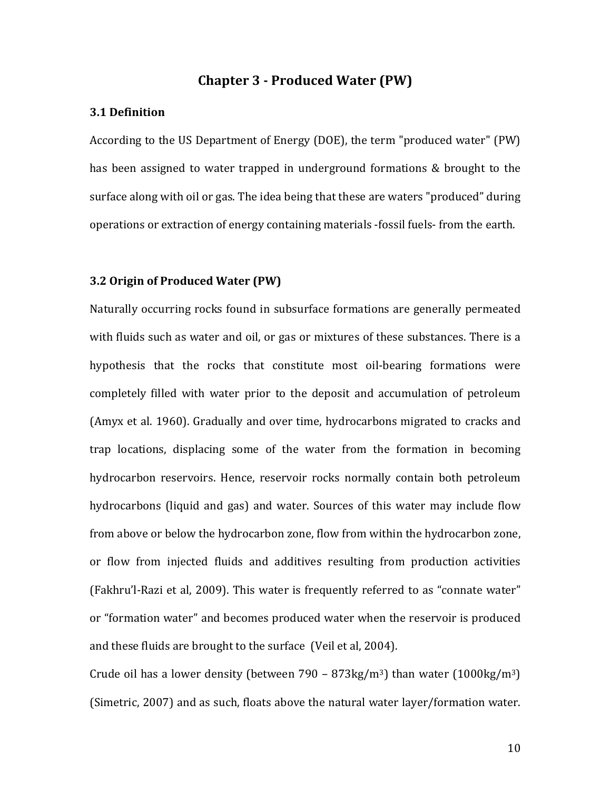# **Chapter 3 - Produced Water (PW)**

### **3.1 Definition**

According to the US Department of Energy (DOE), the term "produced water" (PW) has been assigned to water trapped in underground formations & brought to the surface along with oil or gas. The idea being that these are waters "produced" during operations or extraction of energy containing materials -fossil fuels-from the earth.

### **3.2 Origin of Produced Water (PW)**

Naturally occurring rocks found in subsurface formations are generally permeated with fluids such as water and oil, or gas or mixtures of these substances. There is a hypothesis that the rocks that constitute most oil-bearing formations were completely filled with water prior to the deposit and accumulation of petroleum (Amyx et al. 1960). Gradually and over time, hydrocarbons migrated to cracks and trap locations, displacing some of the water from the formation in becoming hydrocarbon reservoirs. Hence, reservoir rocks normally contain both petroleum hydrocarbons (liquid and gas) and water. Sources of this water may include flow from above or below the hydrocarbon zone, flow from within the hydrocarbon zone, or flow from injected fluids and additives resulting from production activities (Fakhru'l-Razi et al, 2009). This water is frequently referred to as "connate water" or "formation water" and becomes produced water when the reservoir is produced and these fluids are brought to the surface (Veil et al, 2004).

Crude oil has a lower density (between 790 – 873kg/m<sup>3</sup>) than water (1000kg/m<sup>3</sup>) (Simetric, 2007) and as such, floats above the natural water layer/formation water.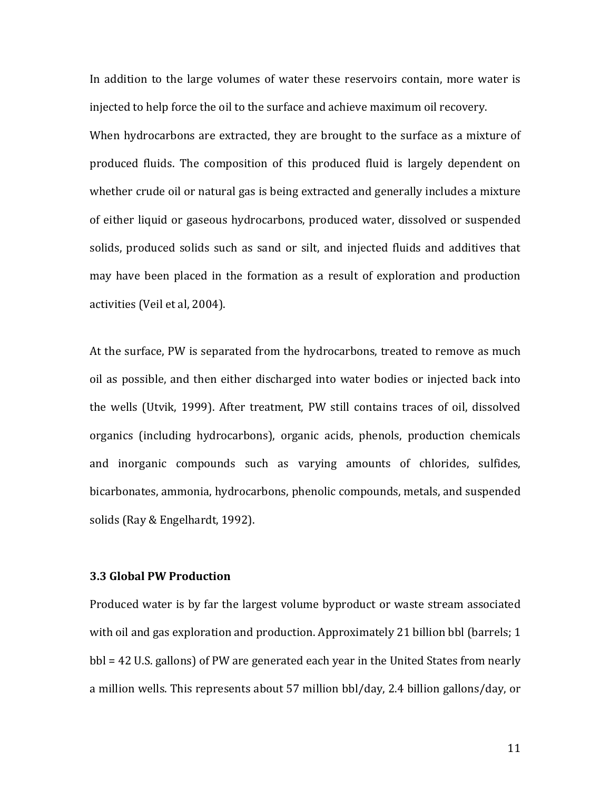In addition to the large volumes of water these reservoirs contain, more water is injected to help force the oil to the surface and achieve maximum oil recovery. When hydrocarbons are extracted, they are brought to the surface as a mixture of produced fluids. The composition of this produced fluid is largely dependent on whether crude oil or natural gas is being extracted and generally includes a mixture of either liquid or gaseous hydrocarbons, produced water, dissolved or suspended solids, produced solids such as sand or silt, and injected fluids and additives that may have been placed in the formation as a result of exploration and production activities (Veil et al, 2004).

At the surface, PW is separated from the hydrocarbons, treated to remove as much oil as possible, and then either discharged into water bodies or injected back into the wells (Utvik, 1999). After treatment, PW still contains traces of oil, dissolved organics (including hydrocarbons), organic acids, phenols, production chemicals and inorganic compounds such as varying amounts of chlorides, sulfides, bicarbonates, ammonia, hydrocarbons, phenolic compounds, metals, and suspended solids (Ray & Engelhardt, 1992).

### **3.3 Global PW Production**

Produced water is by far the largest volume byproduct or waste stream associated with oil and gas exploration and production. Approximately 21 billion bbl (barrels; 1  $bbl = 42$  U.S. gallons) of PW are generated each year in the United States from nearly a million wells. This represents about 57 million bbl/day, 2.4 billion gallons/day, or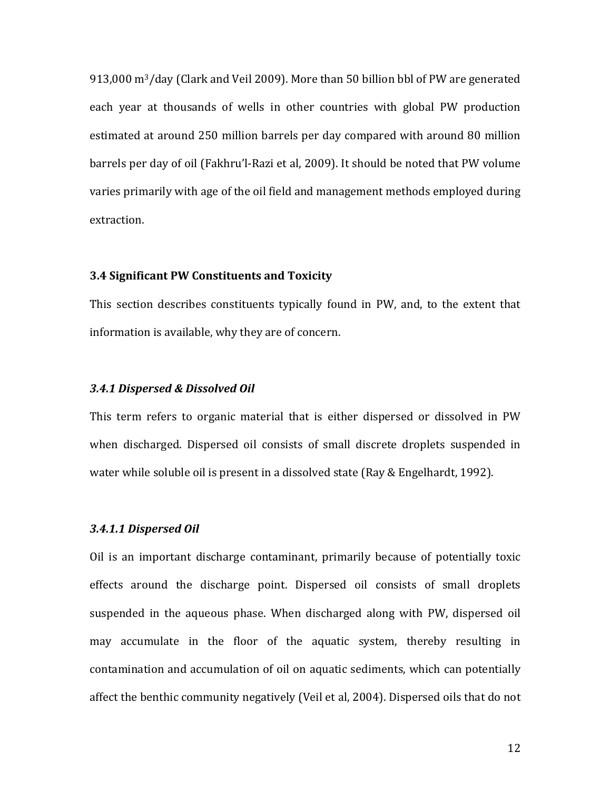$913,000$  m<sup>3</sup>/day (Clark and Veil 2009). More than 50 billion bbl of PW are generated each year at thousands of wells in other countries with global PW production estimated at around 250 million barrels per day compared with around 80 million barrels per day of oil (Fakhru'l-Razi et al, 2009). It should be noted that PW volume varies primarily with age of the oil field and management methods employed during extraction.

### **3.4!Significant!PW Constituents!and!Toxicity**

This section describes constituents typically found in PW, and, to the extent that information is available, why they are of concern.

#### **3.4.1 Dispersed & Dissolved Oil**

This term refers to organic material that is either dispersed or dissolved in PW when discharged. Dispersed oil consists of small discrete droplets suspended in water while soluble oil is present in a dissolved state (Ray & Engelhardt, 1992).

### **3.4.1.1 Dispersed Oil**

Oil is an important discharge contaminant, primarily because of potentially toxic effects around the discharge point. Dispersed oil consists of small droplets suspended in the aqueous phase. When discharged along with PW, dispersed oil may accumulate in the floor of the aquatic system, thereby resulting in contamination and accumulation of oil on aquatic sediments, which can potentially affect the benthic community negatively (Veil et al, 2004). Dispersed oils that do not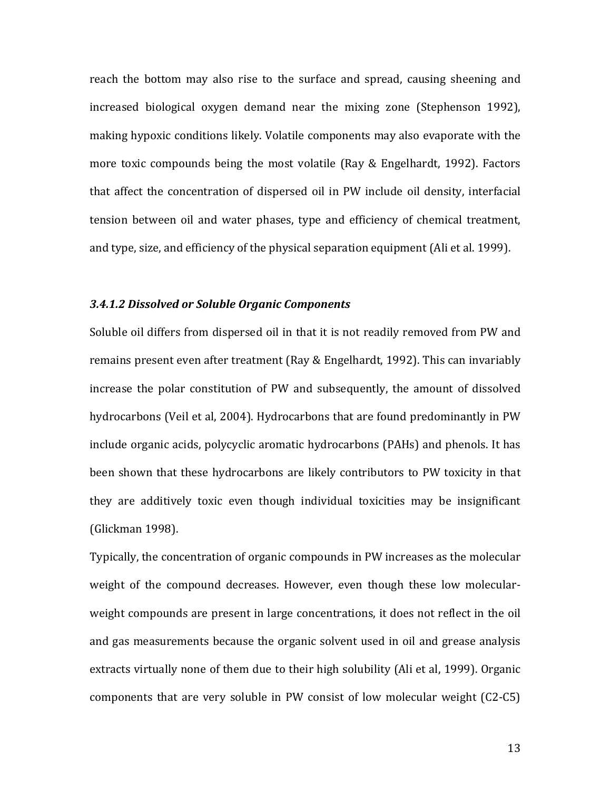reach the bottom may also rise to the surface and spread, causing sheening and increased biological oxygen demand near the mixing zone (Stephenson 1992), making hypoxic conditions likely. Volatile components may also evaporate with the more toxic compounds being the most volatile (Ray & Engelhardt, 1992). Factors that affect the concentration of dispersed oil in PW include oil density, interfacial tension between oil and water phases, type and efficiency of chemical treatment, and type, size, and efficiency of the physical separation equipment (Ali et al. 1999).

#### *3.4.1.2!Dissolved!or!Soluble!Organic!Components*

Soluble oil differs from dispersed oil in that it is not readily removed from PW and remains present even after treatment (Ray & Engelhardt, 1992). This can invariably increase the polar constitution of PW and subsequently, the amount of dissolved hydrocarbons (Veil et al, 2004). Hydrocarbons that are found predominantly in PW include organic acids, polycyclic aromatic hydrocarbons (PAHs) and phenols. It has been shown that these hydrocarbons are likely contributors to PW toxicity in that they are additively toxic even though individual toxicities may be insignificant (Glickman 1998).

Typically, the concentration of organic compounds in PW increases as the molecular weight of the compound decreases. However, even though these low molecularweight compounds are present in large concentrations, it does not reflect in the oil and gas measurements because the organic solvent used in oil and grease analysis extracts virtually none of them due to their high solubility (Ali et al, 1999). Organic components that are very soluble in PW consist of low molecular weight (C2-C5).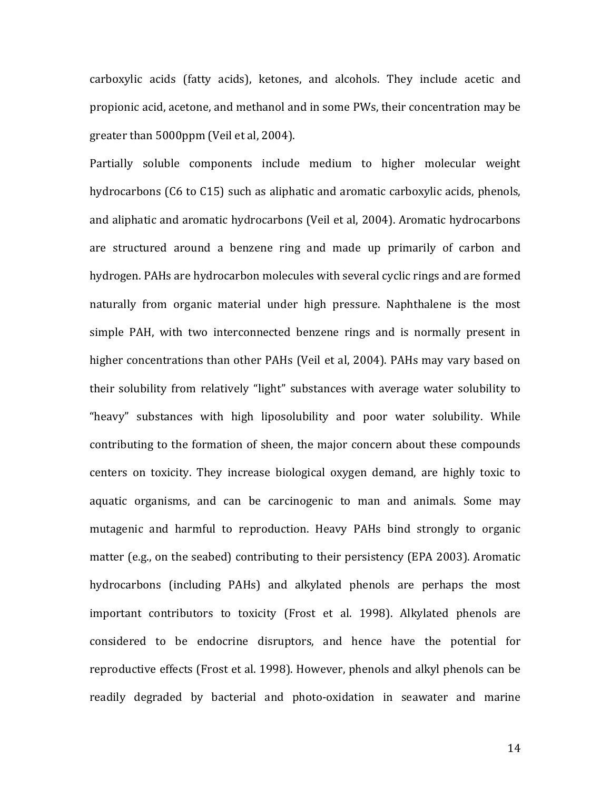carboxylic acids (fatty acids), ketones, and alcohols. They include acetic and propionic acid, acetone, and methanol and in some PWs, their concentration may be greater than 5000ppm (Veil et al, 2004).

Partially soluble components include medium to higher molecular weight hydrocarbons (C6 to C15) such as aliphatic and aromatic carboxylic acids, phenols, and aliphatic and aromatic hydrocarbons (Veil et al, 2004). Aromatic hydrocarbons are structured around a benzene ring and made up primarily of carbon and hydrogen. PAHs are hydrocarbon molecules with several cyclic rings and are formed naturally from organic material under high pressure. Naphthalene is the most simple PAH, with two interconnected benzene rings and is normally present in higher concentrations than other PAHs (Veil et al, 2004). PAHs may vary based on their solubility from relatively "light" substances with average water solubility to "heavy" substances with high liposolubility and poor water solubility. While contributing to the formation of sheen, the major concern about these compounds centers on toxicity. They increase biological oxygen demand, are highly toxic to aquatic organisms, and can be carcinogenic to man and animals. Some may mutagenic and harmful to reproduction. Heavy PAHs bind strongly to organic matter (e.g., on the seabed) contributing to their persistency (EPA 2003). Aromatic hydrocarbons (including PAHs) and alkylated phenols are perhaps the most important contributors to toxicity (Frost et al. 1998). Alkylated phenols are considered to be endocrine disruptors, and hence have the potential for reproductive effects (Frost et al. 1998). However, phenols and alkyl phenols can be readily degraded by bacterial and photo-oxidation in seawater and marine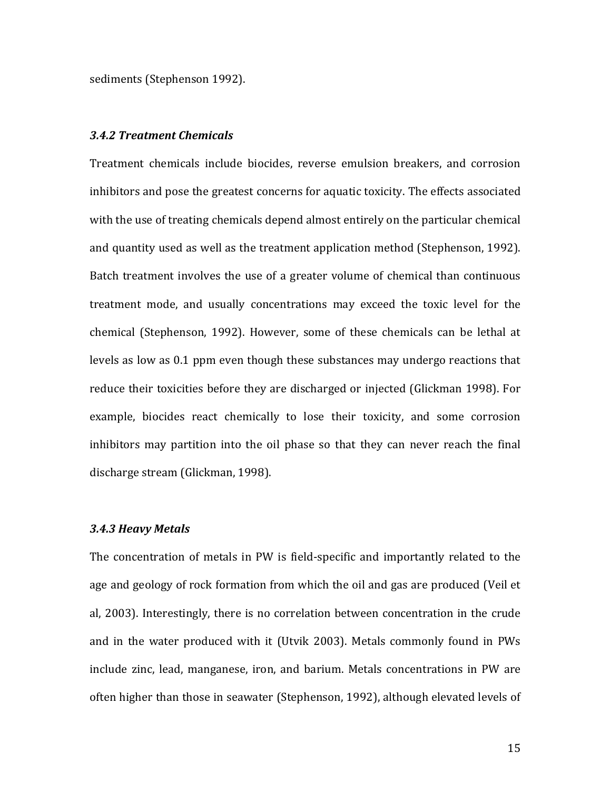sediments (Stephenson 1992).

#### *3.4.2 Treatment!Chemicals*

Treatment chemicals include biocides, reverse emulsion breakers, and corrosion inhibitors and pose the greatest concerns for aquatic toxicity. The effects associated with the use of treating chemicals depend almost entirely on the particular chemical and quantity used as well as the treatment application method (Stephenson, 1992). Batch treatment involves the use of a greater volume of chemical than continuous treatment mode, and usually concentrations may exceed the toxic level for the chemical (Stephenson, 1992). However, some of these chemicals can be lethal at levels as low as 0.1 ppm even though these substances may undergo reactions that reduce their toxicities before they are discharged or injected (Glickman 1998). For example, biocides react chemically to lose their toxicity, and some corrosion inhibitors may partition into the oil phase so that they can never reach the final discharge stream (Glickman, 1998).

### *3.4.3 Heavy!Metals*

The concentration of metals in PW is field-specific and importantly related to the age and geology of rock formation from which the oil and gas are produced (Veil et al, 2003). Interestingly, there is no correlation between concentration in the crude and in the water produced with it (Utvik 2003). Metals commonly found in PWs include zinc, lead, manganese, iron, and barium. Metals concentrations in PW are often higher than those in seawater (Stephenson, 1992), although elevated levels of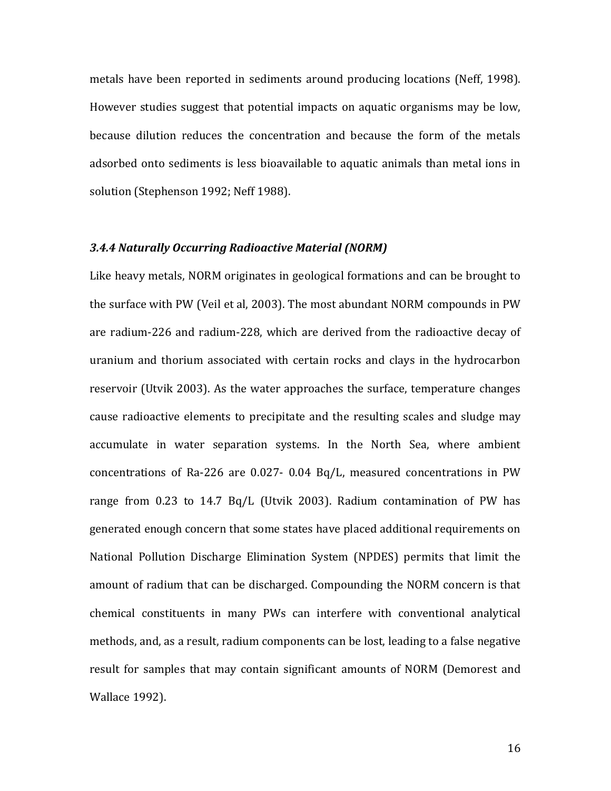metals have been reported in sediments around producing locations (Neff, 1998). However studies suggest that potential impacts on aquatic organisms may be low, because dilution reduces the concentration and because the form of the metals adsorbed onto sediments is less bioavailable to aquatic animals than metal ions in solution (Stephenson 1992; Neff 1988).

## *3.4.4 Naturally!Occurring!Radioactive!Material!(NORM)*

Like heavy metals, NORM originates in geological formations and can be brought to the surface with PW (Veil et al, 2003). The most abundant NORM compounds in PW are radium-226 and radium-228, which are derived from the radioactive decay of uranium and thorium associated with certain rocks and clays in the hydrocarbon reservoir (Utvik 2003). As the water approaches the surface, temperature changes cause radioactive elements to precipitate and the resulting scales and sludge may accumulate in water separation systems. In the North Sea, where ambient concentrations of Ra-226 are  $0.027$ -  $0.04$  Bq/L, measured concentrations in PW range from  $0.23$  to  $14.7$  Bq/L (Utvik 2003). Radium contamination of PW has generated enough concern that some states have placed additional requirements on National Pollution Discharge Elimination System (NPDES) permits that limit the amount of radium that can be discharged. Compounding the NORM concern is that chemical constituents in many PWs can interfere with conventional analytical methods, and, as a result, radium components can be lost, leading to a false negative result for samples that may contain significant amounts of NORM (Demorest and Wallace 1992).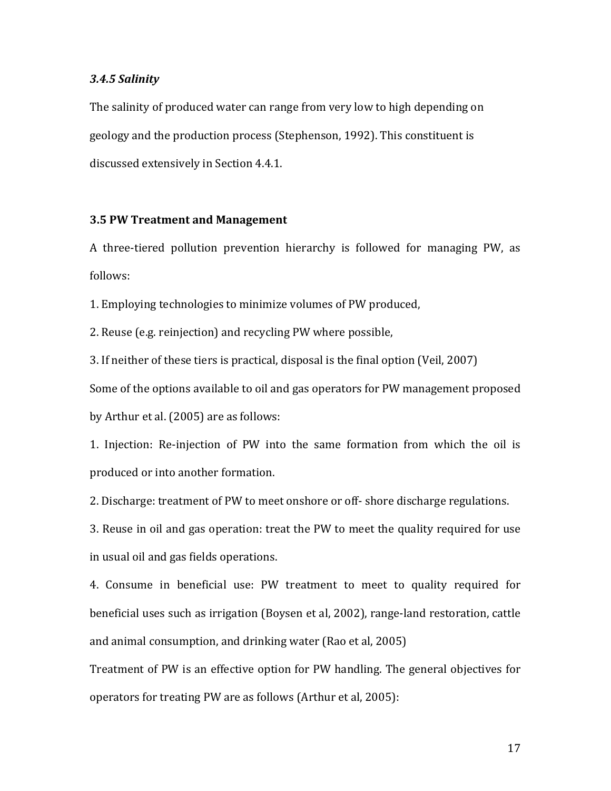#### *3.4.5!Salinity*

The salinity of produced water can range from very low to high depending on geology and the production process (Stephenson, 1992). This constituent is discussed extensively in Section 4.4.1.

# **3.5 PW!Treatment!and Management**

A three-tiered pollution prevention hierarchy is followed for managing PW, as follows:

1. Employing technologies to minimize volumes of PW produced,

2. Reuse (e.g. reinjection) and recycling PW where possible,

3. If neither of these tiers is practical, disposal is the final option (Veil, 2007) Some of the options available to oil and gas operators for PW management proposed by Arthur et al. (2005) are as follows:

1. Injection: Re-injection of PW into the same formation from which the oil is produced or into another formation.

2. Discharge: treatment of PW to meet onshore or off-shore discharge regulations.

3. Reuse in oil and gas operation: treat the PW to meet the quality required for use in usual oil and gas fields operations.

4. Consume in beneficial use: PW treatment to meet to quality required for beneficial uses such as irrigation (Boysen et al, 2002), range-land restoration, cattle and animal consumption, and drinking water (Rao et al, 2005)

Treatment of PW is an effective option for PW handling. The general objectives for operators for treating PW are as follows (Arthur et al, 2005):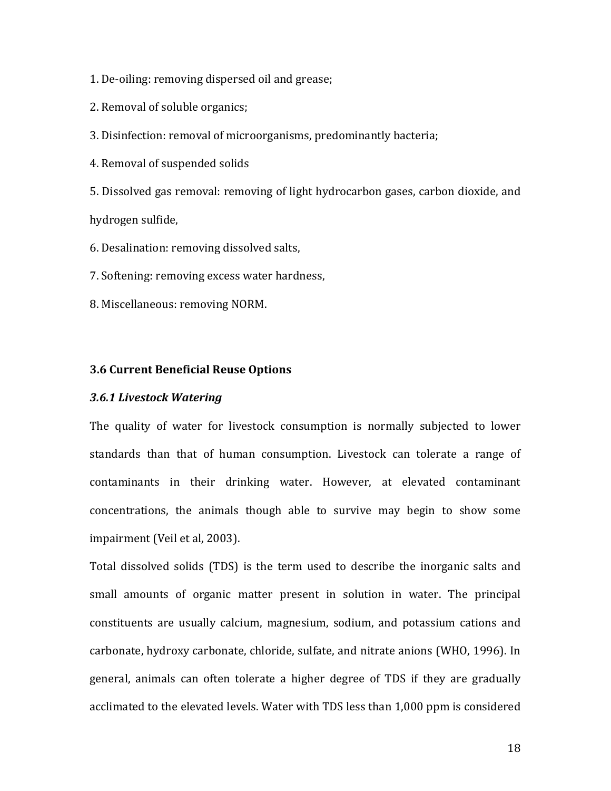1. De-oiling: removing dispersed oil and grease;

2. Removal of soluble organics;

3. Disinfection: removal of microorganisms, predominantly bacteria;

4. Removal of suspended solids

5. Dissolved gas removal: removing of light hydrocarbon gases, carbon dioxide, and hydrogen sulfide,

6. Desalination: removing dissolved salts,

7. Softening: removing excess water hardness.

8. Miscellaneous: removing NORM.

# **3.6 Current Beneficial Reuse Options**

#### *3.6.1!Livestock!Watering*

The quality of water for livestock consumption is normally subjected to lower standards than that of human consumption. Livestock can tolerate a range of contaminants in their drinking water. However, at elevated contaminant concentrations, the animals though able to survive may begin to show some impairment (Veil et al, 2003).

Total dissolved solids (TDS) is the term used to describe the inorganic salts and small amounts of organic matter present in solution in water. The principal constituents are usually calcium, magnesium, sodium, and potassium cations and carbonate, hydroxy carbonate, chloride, sulfate, and nitrate anions (WHO, 1996). In general, animals can often tolerate a higher degree of TDS if they are gradually acclimated to the elevated levels. Water with TDS less than 1,000 ppm is considered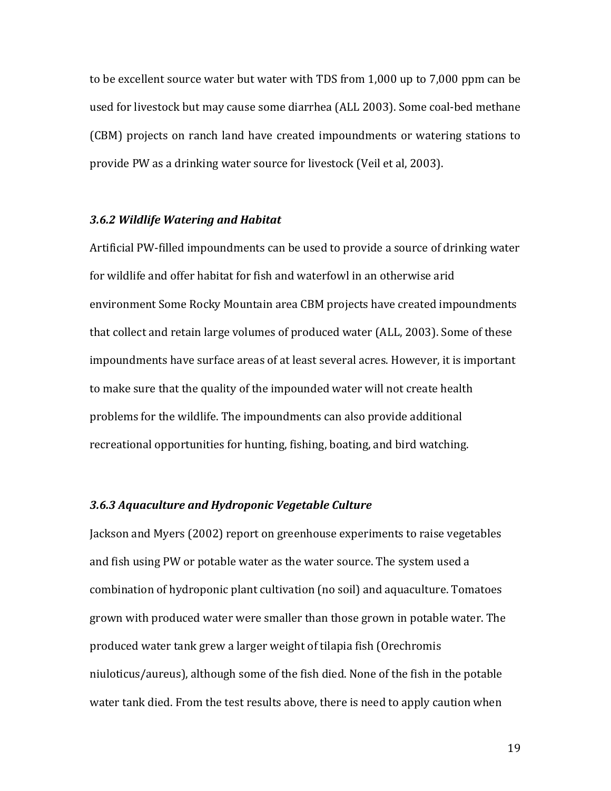to be excellent source water but water with TDS from 1,000 up to 7,000 ppm can be used for livestock but may cause some diarrhea (ALL 2003). Some coal-bed methane (CBM) projects on ranch land have created impoundments or watering stations to provide PW as a drinking water source for livestock (Veil et al, 2003).

# *3.6.2!Wildlife!Watering!and!Habitat*

Artificial PW-filled impoundments can be used to provide a source of drinking water for wildlife and offer habitat for fish and waterfowl in an otherwise arid environment Some Rocky Mountain area CBM projects have created impoundments that collect and retain large volumes of produced water (ALL, 2003). Some of these impoundments have surface areas of at least several acres. However, it is important to make sure that the quality of the impounded water will not create health problems for the wildlife. The impoundments can also provide additional recreational opportunities for hunting, fishing, boating, and bird watching.

# *3.6.3!Aquaculture!and!Hydroponic!Vegetable Culture*

Jackson and Myers (2002) report on greenhouse experiments to raise vegetables and fish using PW or potable water as the water source. The system used a combination of hydroponic plant cultivation (no soil) and aquaculture. Tomatoes grown with produced water were smaller than those grown in potable water. The produced water tank grew a larger weight of tilapia fish (Orechromis niuloticus/aureus), although some of the fish died. None of the fish in the potable water tank died. From the test results above, there is need to apply caution when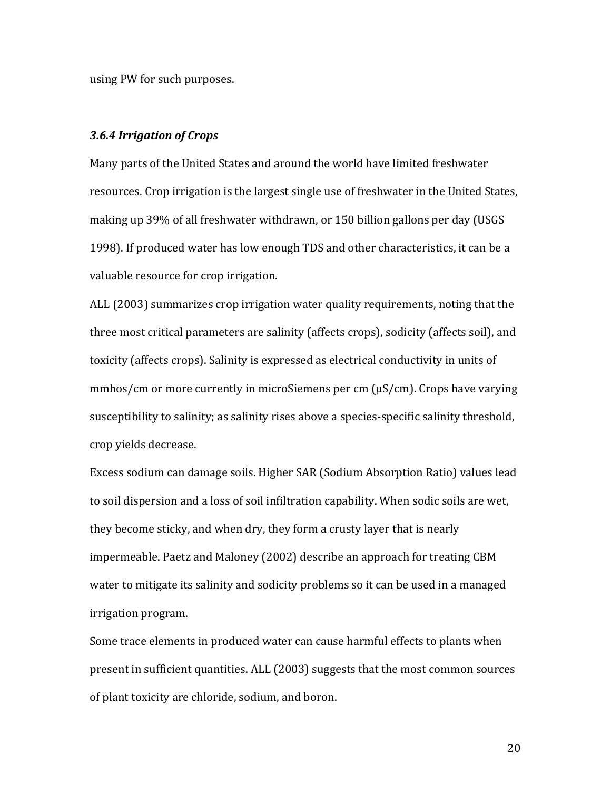using PW for such purposes.

#### 3.6.4 Irrigation of Crops

Many parts of the United States and around the world have limited freshwater resources. Crop irrigation is the largest single use of freshwater in the United States, making up 39% of all freshwater withdrawn, or 150 billion gallons per day (USGS 1998). If produced water has low enough TDS and other characteristics, it can be a valuable resource for crop irrigation.

ALL (2003) summarizes crop irrigation water quality requirements, noting that the three most critical parameters are salinity (affects crops), sodicity (affects soil), and toxicity (affects crops). Salinity is expressed as electrical conductivity in units of  $\mu$ mmhos/cm or more currently in microSiemens per cm ( $\mu$ S/cm). Crops have varying susceptibility to salinity; as salinity rises above a species-specific salinity threshold, crop yields decrease.

Excess sodium can damage soils. Higher SAR (Sodium Absorption Ratio) values lead to soil dispersion and a loss of soil infiltration capability. When sodic soils are wet, they become sticky, and when dry, they form a crusty layer that is nearly impermeable. Paetz and Maloney (2002) describe an approach for treating CBM water to mitigate its salinity and sodicity problems so it can be used in a managed irrigation program.

Some trace elements in produced water can cause harmful effects to plants when present in sufficient quantities. ALL (2003) suggests that the most common sources of plant toxicity are chloride, sodium, and boron.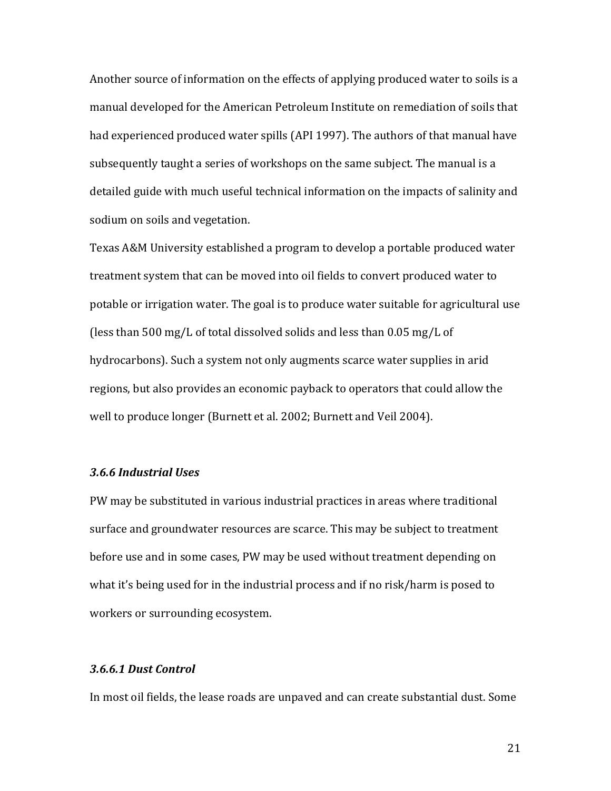Another source of information on the effects of applying produced water to soils is a manual developed for the American Petroleum Institute on remediation of soils that had experienced produced water spills (API 1997). The authors of that manual have subsequently taught a series of workshops on the same subject. The manual is a detailed guide with much useful technical information on the impacts of salinity and sodium on soils and vegetation.

Texas A&M University established a program to develop a portable produced water treatment system that can be moved into oil fields to convert produced water to potable or irrigation water. The goal is to produce water suitable for agricultural use (less than 500 mg/L of total dissolved solids and less than  $0.05$  mg/L of hydrocarbons). Such a system not only augments scarce water supplies in arid regions, but also provides an economic payback to operators that could allow the well to produce longer (Burnett et al. 2002; Burnett and Veil 2004).

## *3.6.6!Industrial!Uses*

PW may be substituted in various industrial practices in areas where traditional surface and groundwater resources are scarce. This may be subject to treatment before use and in some cases, PW may be used without treatment depending on what it's being used for in the industrial process and if no risk/harm is posed to workers or surrounding ecosystem.

## *3.6.6.1!Dust!Control*

In most oil fields, the lease roads are unpaved and can create substantial dust. Some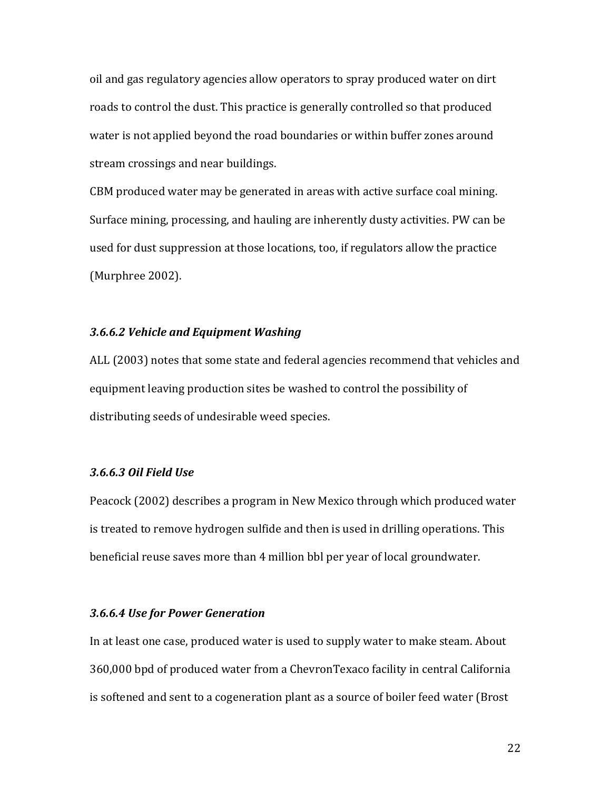oil and gas regulatory agencies allow operators to spray produced water on dirt roads to control the dust. This practice is generally controlled so that produced water is not applied beyond the road boundaries or within buffer zones around stream crossings and near buildings.

CBM produced water may be generated in areas with active surface coal mining. Surface mining, processing, and hauling are inherently dusty activities. PW can be used for dust suppression at those locations, too, if regulators allow the practice  $(Murphere 2002)$ .

#### *3.6.6.2!Vehicle!and!Equipment!Washing*

ALL (2003) notes that some state and federal agencies recommend that vehicles and equipment leaving production sites be washed to control the possibility of distributing seeds of undesirable weed species.

## *3.6.6.3!Oil!Field!Use*

Peacock (2002) describes a program in New Mexico through which produced water is treated to remove hydrogen sulfide and then is used in drilling operations. This beneficial reuse saves more than 4 million bbl per year of local groundwater.

### **3.6.6.4 Use for Power Generation**

In at least one case, produced water is used to supply water to make steam. About 360,000 bpd of produced water from a ChevronTexaco facility in central California is softened and sent to a cogeneration plant as a source of boiler feed water (Brost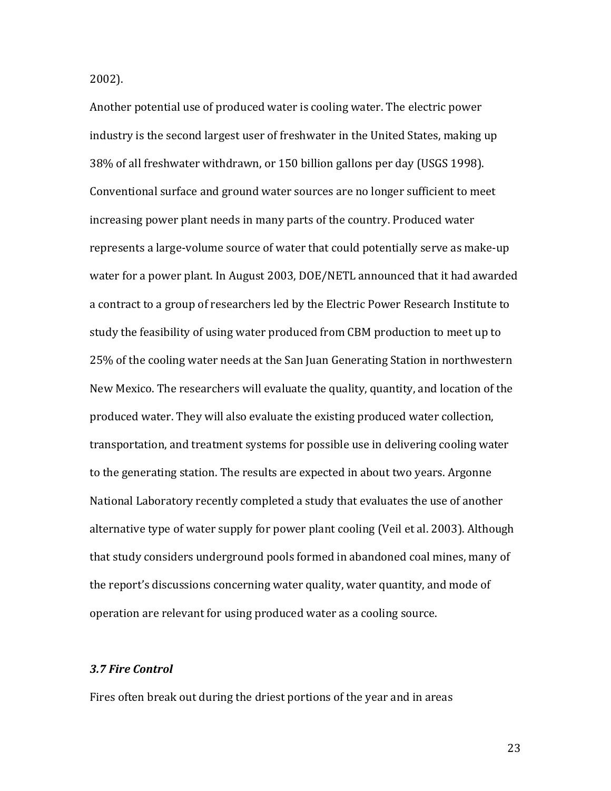2002).

Another potential use of produced water is cooling water. The electric power industry is the second largest user of freshwater in the United States, making up 38% of all freshwater withdrawn, or 150 billion gallons per day (USGS 1998). Conventional surface and ground water sources are no longer sufficient to meet increasing power plant needs in many parts of the country. Produced water represents a large-volume source of water that could potentially serve as make-up water for a power plant. In August 2003, DOE/NETL announced that it had awarded a contract to a group of researchers led by the Electric Power Research Institute to study the feasibility of using water produced from CBM production to meet up to 25% of the cooling water needs at the San Juan Generating Station in northwestern New Mexico. The researchers will evaluate the quality, quantity, and location of the produced water. They will also evaluate the existing produced water collection, transportation, and treatment systems for possible use in delivering cooling water to the generating station. The results are expected in about two years. Argonne National Laboratory recently completed a study that evaluates the use of another alternative type of water supply for power plant cooling (Veil et al. 2003). Although that study considers underground pools formed in abandoned coal mines, many of the report's discussions concerning water quality, water quantity, and mode of operation are relevant for using produced water as a cooling source.

# *3.7!Fire!Control*

Fires often break out during the driest portions of the year and in areas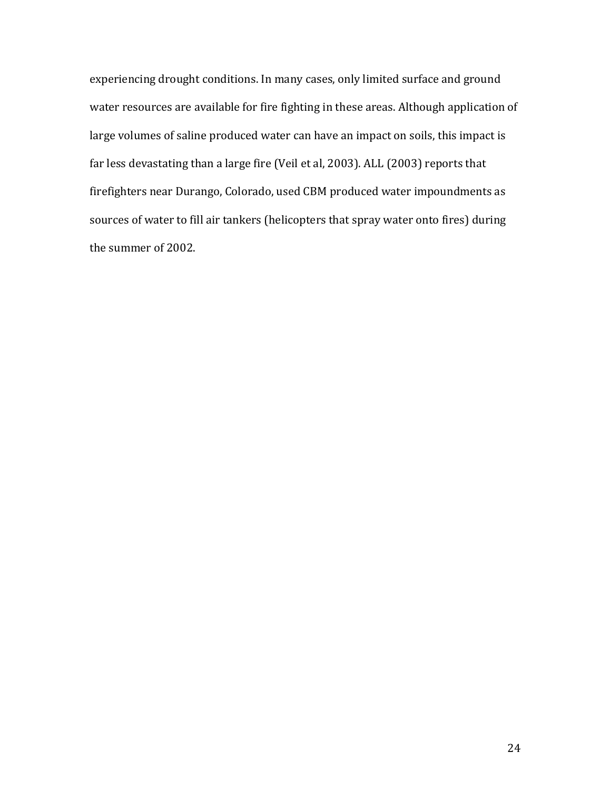experiencing drought conditions. In many cases, only limited surface and ground water resources are available for fire fighting in these areas. Although application of large volumes of saline produced water can have an impact on soils, this impact is far less devastating than a large fire (Veil et al, 2003). ALL (2003) reports that firefighters near Durango, Colorado, used CBM produced water impoundments as sources of water to fill air tankers (helicopters that spray water onto fires) during the summer of 2002.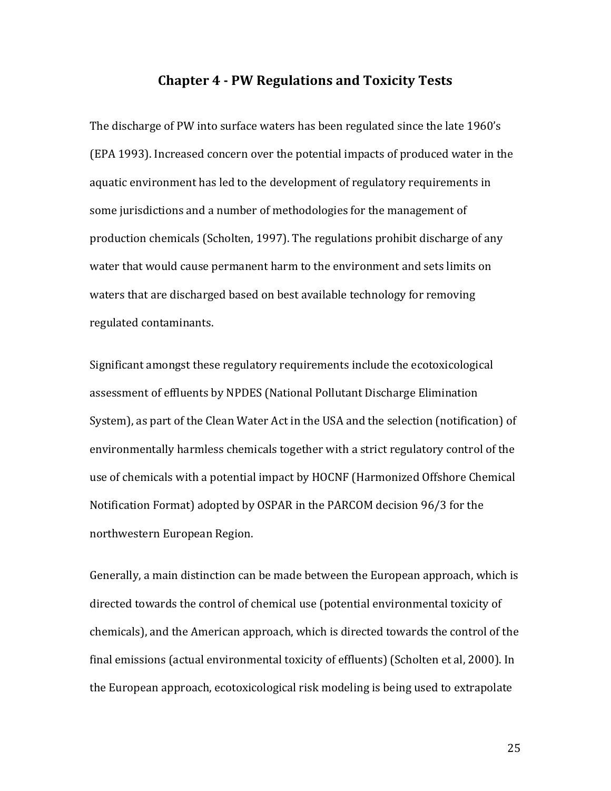# **Chapter!4!\* PW!Regulations and!Toxicity!Tests**

The discharge of PW into surface waters has been regulated since the late 1960's (EPA 1993). Increased concern over the potential impacts of produced water in the aquatic environment has led to the development of regulatory requirements in some jurisdictions and a number of methodologies for the management of production chemicals (Scholten, 1997). The regulations prohibit discharge of any water that would cause permanent harm to the environment and sets limits on waters that are discharged based on best available technology for removing regulated contaminants.

Significant amongst these regulatory requirements include the ecotoxicological assessment of effluents by NPDES (National Pollutant Discharge Elimination System), as part of the Clean Water Act in the USA and the selection (notification) of environmentally harmless chemicals together with a strict regulatory control of the use of chemicals with a potential impact by HOCNF (Harmonized Offshore Chemical Notification Format) adopted by OSPAR in the PARCOM decision 96/3 for the northwestern European Region.

Generally, a main distinction can be made between the European approach, which is directed towards the control of chemical use (potential environmental toxicity of chemicals), and the American approach, which is directed towards the control of the final emissions (actual environmental toxicity of effluents) (Scholten et al, 2000). In the European approach, ecotoxicological risk modeling is being used to extrapolate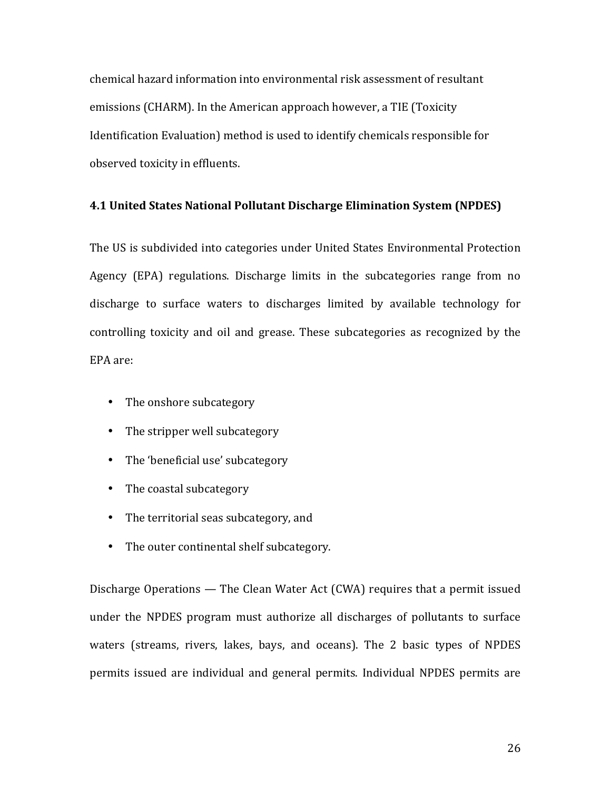chemical hazard information into environmental risk assessment of resultant emissions (CHARM). In the American approach however, a TIE (Toxicity Identification Evaluation) method is used to identify chemicals responsible for observed toxicity in effluents.

# **4.1 United States National Pollutant Discharge Elimination System (NPDES)**

The US is subdivided into categories under United States Environmental Protection Agency (EPA) regulations. Discharge limits in the subcategories range from no discharge to surface waters to discharges limited by available technology for controlling toxicity and oil and grease. These subcategories as recognized by the EPA are:

- The onshore subcategory
- The stripper well subcategory
- The 'beneficial use' subcategory
- The coastal subcategory
- The territorial seas subcategory, and
- The outer continental shelf subcategory.

Discharge Operations — The Clean Water Act (CWA) requires that a permit issued under the NPDES program must authorize all discharges of pollutants to surface waters (streams, rivers, lakes, bays, and oceans). The 2 basic types of NPDES permits issued are individual and general permits. Individual NPDES permits are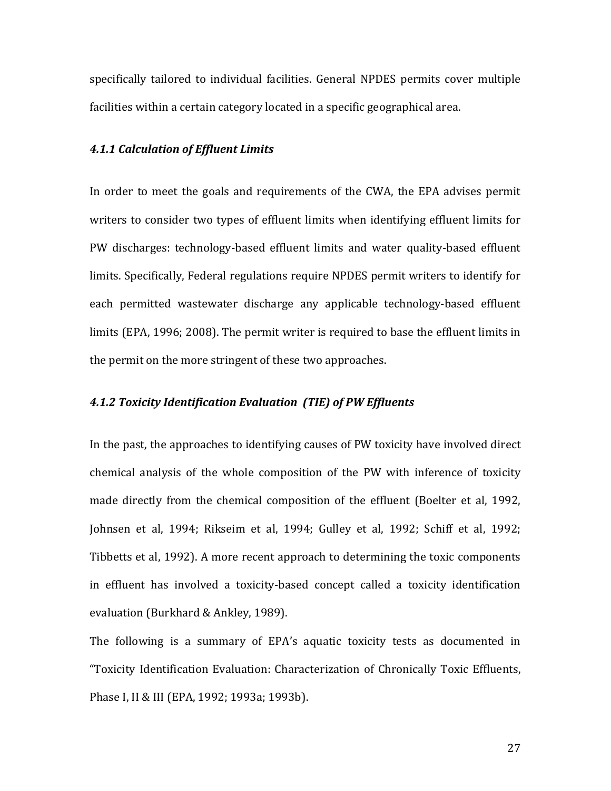specifically tailored to individual facilities. General NPDES permits cover multiple facilities within a certain category located in a specific geographical area.

## **4.1.1 Calculation of Effluent Limits**

In order to meet the goals and requirements of the CWA, the EPA advises permit writers to consider two types of effluent limits when identifying effluent limits for PW discharges: technology-based effluent limits and water quality-based effluent limits. Specifically, Federal regulations require NPDES permit writers to identify for each permitted wastewater discharge any applicable technology-based effluent limits (EPA, 1996; 2008). The permit writer is required to base the effluent limits in the permit on the more stringent of these two approaches.

# **4.1.2 Toxicity Identification Evaluation (TIE) of PW Effluents**

In the past, the approaches to identifying causes of PW toxicity have involved direct chemical analysis of the whole composition of the PW with inference of toxicity made directly from the chemical composition of the effluent (Boelter et al, 1992, Johnsen et al, 1994; Rikseim et al, 1994; Gulley et al, 1992; Schiff et al, 1992; Tibbetts et al, 1992). A more recent approach to determining the toxic components in effluent has involved a toxicity-based concept called a toxicity identification evaluation (Burkhard & Ankley, 1989).

The following is a summary of EPA's aquatic toxicity tests as documented in "Toxicity Identification Evaluation: Characterization of Chronically Toxic Effluents, Phase I, II & III (EPA, 1992; 1993a; 1993b).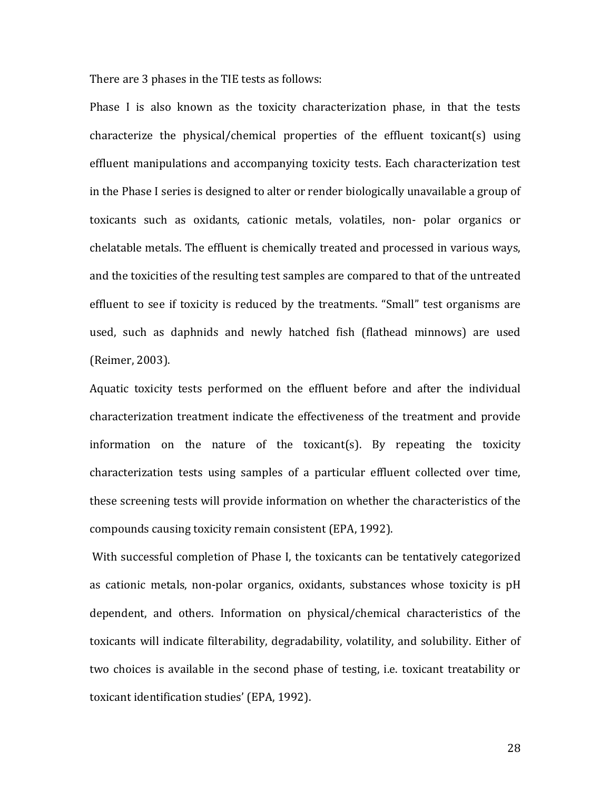There are 3 phases in the TIE tests as follows:

Phase I is also known as the toxicity characterization phase, in that the tests characterize the physical/chemical properties of the effluent toxicant(s) using effluent manipulations and accompanying toxicity tests. Each characterization test in the Phase I series is designed to alter or render biologically unavailable a group of toxicants such as oxidants, cationic metals, volatiles, non- polar organics or chelatable metals. The effluent is chemically treated and processed in various ways, and the toxicities of the resulting test samples are compared to that of the untreated effluent to see if toxicity is reduced by the treatments. "Small" test organisms are used, such as daphnids and newly hatched fish (flathead minnows) are used (Reimer, 2003).

Aquatic toxicity tests performed on the effluent before and after the individual characterization treatment indicate the effectiveness of the treatment and provide information on the nature of the toxicant(s). By repeating the toxicity characterization tests using samples of a particular effluent collected over time, these screening tests will provide information on whether the characteristics of the compounds causing toxicity remain consistent (EPA, 1992).

With successful completion of Phase I, the toxicants can be tentatively categorized as cationic metals, non-polar organics, oxidants, substances whose toxicity is pH dependent, and others. Information on physical/chemical characteristics of the toxicants will indicate filterability, degradability, volatility, and solubility. Either of two choices is available in the second phase of testing, i.e. toxicant treatability or toxicant identification studies' (EPA, 1992).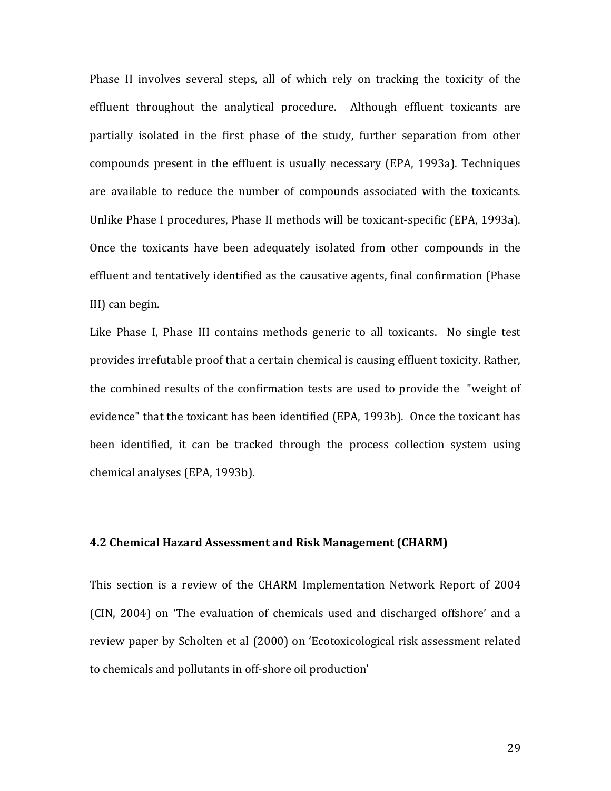Phase II involves several steps, all of which rely on tracking the toxicity of the effluent throughout the analytical procedure. Although effluent toxicants are partially isolated in the first phase of the study, further separation from other compounds present in the effluent is usually necessary (EPA, 1993a). Techniques are available to reduce the number of compounds associated with the toxicants. Unlike Phase I procedures, Phase II methods will be toxicant-specific (EPA, 1993a). Once the toxicants have been adequately isolated from other compounds in the effluent and tentatively identified as the causative agents, final confirmation (Phase III) can begin.

Like Phase I, Phase III contains methods generic to all toxicants. No single test provides irrefutable proof that a certain chemical is causing effluent toxicity. Rather, the combined results of the confirmation tests are used to provide the "weight of evidence" that the toxicant has been identified (EPA, 1993b). Once the toxicant has been identified, it can be tracked through the process collection system using chemical analyses (EPA, 1993b).

#### **4.2 Chemical Hazard Assessment and Risk Management (CHARM)**

This section is a review of the CHARM Implementation Network Report of 2004 (CIN, 2004) on 'The evaluation of chemicals used and discharged offshore' and a review paper by Scholten et al (2000) on 'Ecotoxicological risk assessment related to chemicals and pollutants in off-shore oil production'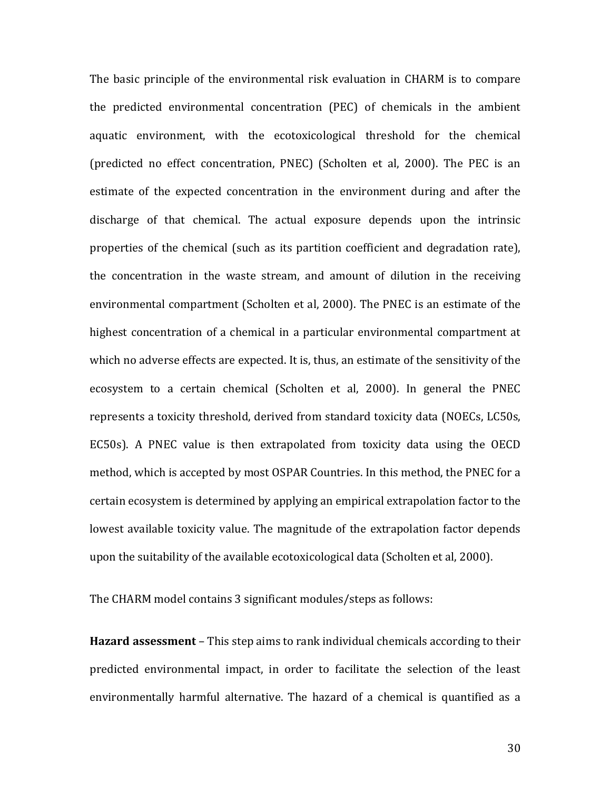The basic principle of the environmental risk evaluation in CHARM is to compare the predicted environmental concentration (PEC) of chemicals in the ambient aquatic environment, with the ecotoxicological threshold for the chemical (predicted no effect concentration,  $PNEC$ ) (Scholten et al, 2000). The PEC is an estimate of the expected concentration in the environment during and after the discharge of that chemical. The actual exposure depends upon the intrinsic properties of the chemical (such as its partition coefficient and degradation rate), the concentration in the waste stream, and amount of dilution in the receiving environmental compartment (Scholten et al, 2000). The PNEC is an estimate of the highest concentration of a chemical in a particular environmental compartment at which no adverse effects are expected. It is, thus, an estimate of the sensitivity of the ecosystem to a certain chemical (Scholten et al, 2000). In general the PNEC represents a toxicity threshold, derived from standard toxicity data (NOECs, LC50s, EC50s). A PNEC value is then extrapolated from toxicity data using the OECD method, which is accepted by most OSPAR Countries. In this method, the PNEC for a certain ecosystem is determined by applying an empirical extrapolation factor to the lowest available toxicity value. The magnitude of the extrapolation factor depends upon the suitability of the available ecotoxicological data (Scholten et al, 2000).

The CHARM model contains 3 significant modules/steps as follows:

**Hazard assessment** – This step aims to rank individual chemicals according to their predicted environmental impact, in order to facilitate the selection of the least environmentally harmful alternative. The hazard of a chemical is quantified as a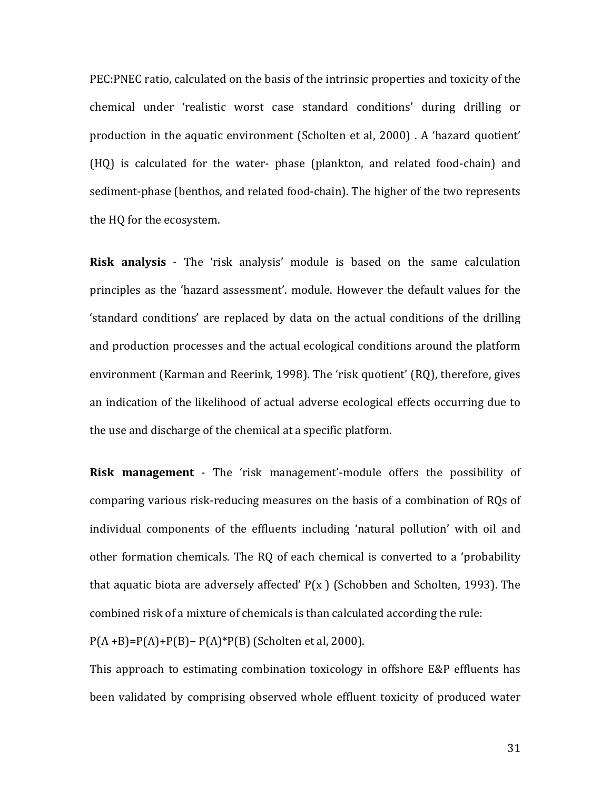PEC: PNEC ratio, calculated on the basis of the intrinsic properties and toxicity of the chemical under 'realistic worst case standard conditions' during drilling or production in the aquatic environment (Scholten et al, 2000) . A 'hazard quotient'  $(HQ)$  is calculated for the water- phase (plankton, and related food-chain) and sediment-phase (benthos, and related food-chain). The higher of the two represents the HQ for the ecosystem.

**Risk analysis** - The 'risk analysis' module is based on the same calculation principles as the 'hazard assessment'. module. However the default values for the 'standard conditions' are replaced by data on the actual conditions of the drilling and production processes and the actual ecological conditions around the platform environment (Karman and Reerink, 1998). The 'risk quotient' (RQ), therefore, gives an indication of the likelihood of actual adverse ecological effects occurring due to the use and discharge of the chemical at a specific platform.

**Risk management** - The 'risk management'-module offers the possibility of comparing various risk-reducing measures on the basis of a combination of ROs of individual components of the effluents including 'natural pollution' with oil and other formation chemicals. The RQ of each chemical is converted to a 'probability that aquatic biota are adversely affected'  $P(x)$  (Schobben and Scholten, 1993). The combined risk of a mixture of chemicals is than calculated according the rule:  $P(A + B)=P(A)+P(B)-P(A)*P(B)$  (Scholten et al, 2000).

This approach to estimating combination toxicology in offshore E&P effluents has been validated by comprising observed whole effluent toxicity of produced water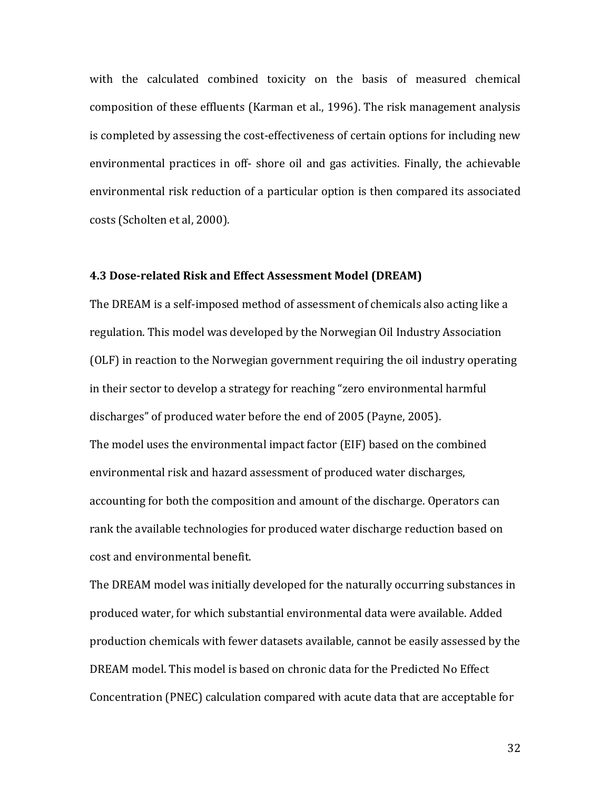with the calculated combined toxicity on the basis of measured chemical composition of these effluents (Karman et al., 1996). The risk management analysis is completed by assessing the cost-effectiveness of certain options for including new environmental practices in off-shore oil and gas activities. Finally, the achievable environmental risk reduction of a particular option is then compared its associated costs (Scholten et al, 2000).

# **4.3 Dose-related Risk and Effect Assessment Model (DREAM)**

The DREAM is a self-imposed method of assessment of chemicals also acting like a regulation. This model was developed by the Norwegian Oil Industry Association (OLF) in reaction to the Norwegian government requiring the oil industry operating in their sector to develop a strategy for reaching "zero environmental harmful discharges" of produced water before the end of 2005 (Payne, 2005). The model uses the environmental impact factor (EIF) based on the combined environmental risk and hazard assessment of produced water discharges, accounting for both the composition and amount of the discharge. Operators can rank the available technologies for produced water discharge reduction based on cost and environmental benefit.

The DREAM model was initially developed for the naturally occurring substances in produced water, for which substantial environmental data were available. Added production chemicals with fewer datasets available, cannot be easily assessed by the DREAM model. This model is based on chronic data for the Predicted No Effect Concentration (PNEC) calculation compared with acute data that are acceptable for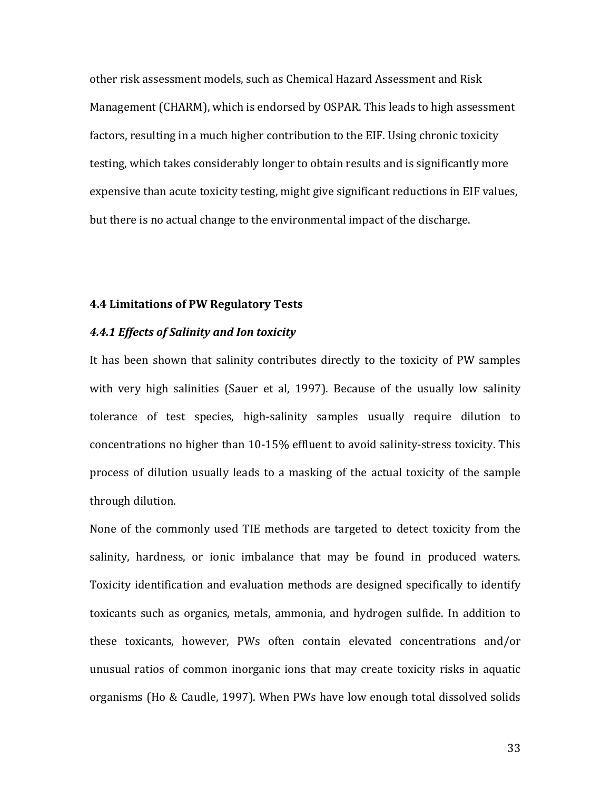other risk assessment models, such as Chemical Hazard Assessment and Risk Management (CHARM), which is endorsed by OSPAR. This leads to high assessment factors, resulting in a much higher contribution to the EIF. Using chronic toxicity testing, which takes considerably longer to obtain results and is significantly more expensive than acute toxicity testing, might give significant reductions in EIF values, but there is no actual change to the environmental impact of the discharge.

#### **4.4 Limitations!of!PW!Regulatory!Tests**

# **4.4.1 Effects of Salinity and Ion toxicity**

It has been shown that salinity contributes directly to the toxicity of PW samples with very high salinities (Sauer et al, 1997). Because of the usually low salinity tolerance of test species, high-salinity samples usually require dilution to concentrations no higher than 10-15% effluent to avoid salinity-stress toxicity. This process of dilution usually leads to a masking of the actual toxicity of the sample through dilution.

None of the commonly used TIE methods are targeted to detect toxicity from the salinity, hardness, or ionic imbalance that may be found in produced waters. Toxicity identification and evaluation methods are designed specifically to identify toxicants such as organics, metals, ammonia, and hydrogen sulfide. In addition to these toxicants, however, PWs often contain elevated concentrations and/or unusual ratios of common inorganic ions that may create toxicity risks in aquatic organisms (Ho & Caudle, 1997). When PWs have low enough total dissolved solids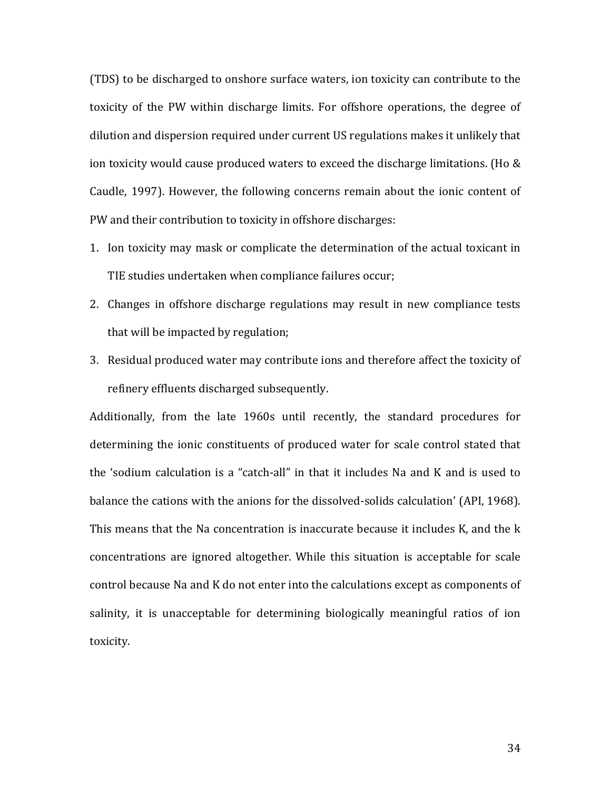(TDS) to be discharged to onshore surface waters, ion toxicity can contribute to the toxicity of the PW within discharge limits. For offshore operations, the degree of dilution and dispersion required under current US regulations makes it unlikely that ion toxicity would cause produced waters to exceed the discharge limitations. (Ho  $&$ Caudle, 1997). However, the following concerns remain about the ionic content of PW and their contribution to toxicity in offshore discharges:

- 1. Ion toxicity may mask or complicate the determination of the actual toxicant in TIE studies undertaken when compliance failures occur;
- 2. Changes in offshore discharge regulations may result in new compliance tests that will be impacted by regulation;
- 3. Residual produced water may contribute ions and therefore affect the toxicity of refinery effluents discharged subsequently.

Additionally, from the late 1960s until recently, the standard procedures for determining the ionic constituents of produced water for scale control stated that the 'sodium calculation is a "catch-all" in that it includes Na and K and is used to balance the cations with the anions for the dissolved-solids calculation' (API, 1968). This means that the Na concentration is inaccurate because it includes K, and the k concentrations are ignored altogether. While this situation is acceptable for scale control because Na and K do not enter into the calculations except as components of salinity, it is unacceptable for determining biologically meaningful ratios of ion toxicity.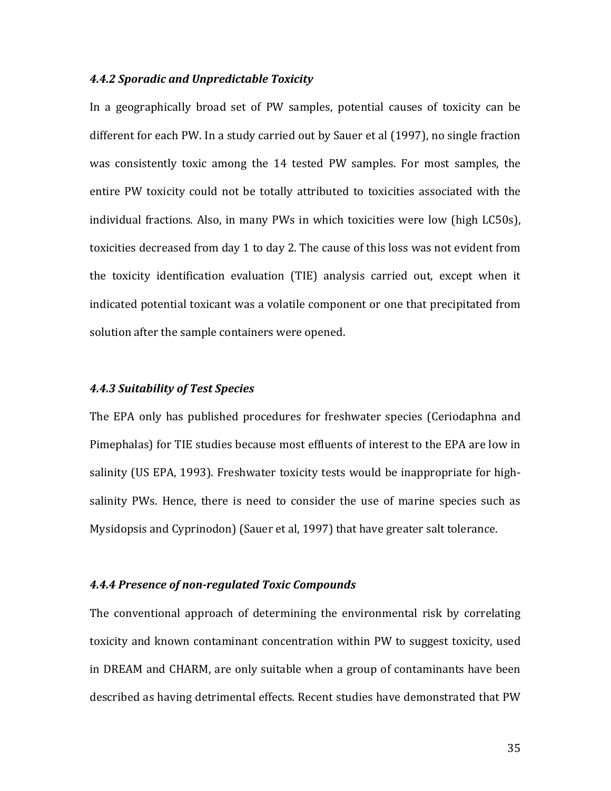# *4.4.2 Sporadic!and!Unpredictable!Toxicity*

In a geographically broad set of PW samples, potential causes of toxicity can be different for each PW. In a study carried out by Sauer et al (1997), no single fraction was consistently toxic among the 14 tested PW samples. For most samples, the entire PW toxicity could not be totally attributed to toxicities associated with the individual fractions. Also, in many PWs in which toxicities were low (high LC50s), toxicities decreased from day 1 to day 2. The cause of this loss was not evident from the toxicity identification evaluation (TIE) analysis carried out, except when it indicated potential toxicant was a volatile component or one that precipitated from solution after the sample containers were opened.

#### *4.4.3 Suitability!of!Test!Species*

The EPA only has published procedures for freshwater species (Ceriodaphna and Pimephalas) for TIE studies because most effluents of interest to the EPA are low in salinity (US EPA, 1993). Freshwater toxicity tests would be inappropriate for highsalinity PWs. Hence, there is need to consider the use of marine species such as Mysidopsis and Cyprinodon) (Sauer et al, 1997) that have greater salt tolerance.

#### **4.4.4 Presence of non-regulated Toxic Compounds**

The conventional approach of determining the environmental risk by correlating toxicity and known contaminant concentration within PW to suggest toxicity, used in DREAM and CHARM, are only suitable when a group of contaminants have been described as having detrimental effects. Recent studies have demonstrated that PW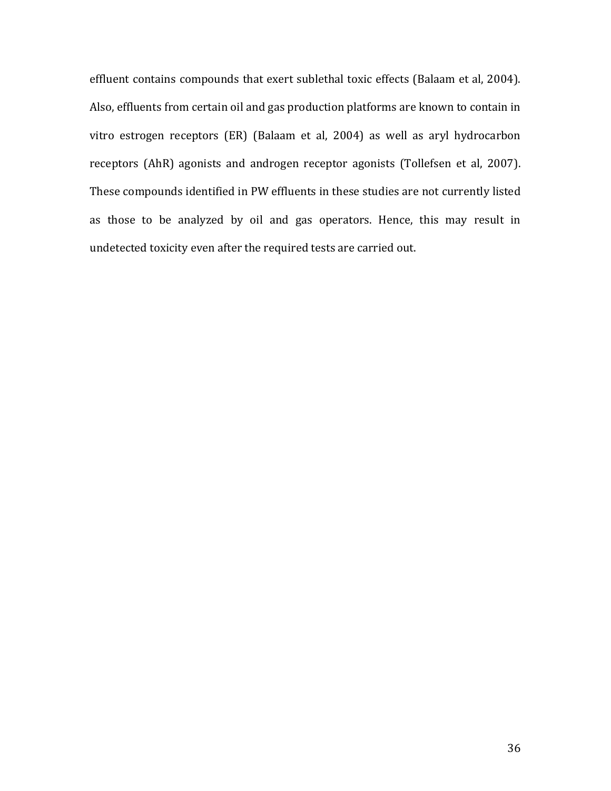effluent contains compounds that exert sublethal toxic effects (Balaam et al, 2004). Also, effluents from certain oil and gas production platforms are known to contain in vitro estrogen receptors (ER) (Balaam et al, 2004) as well as aryl hydrocarbon receptors (AhR) agonists and androgen receptor agonists (Tollefsen et al, 2007). These compounds identified in PW effluents in these studies are not currently listed as those to be analyzed by oil and gas operators. Hence, this may result in undetected toxicity even after the required tests are carried out.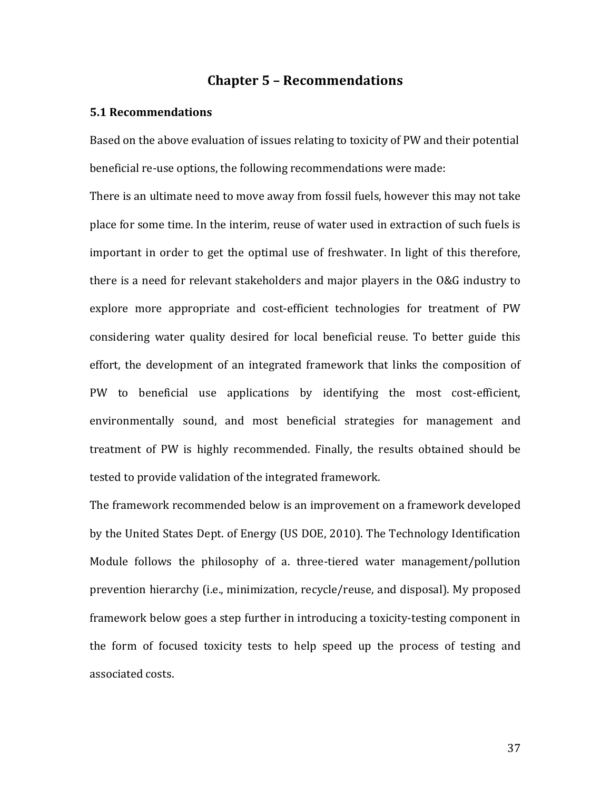# **Chapter!5!– Recommendations**

#### **5.1!Recommendations**

Based on the above evaluation of issues relating to toxicity of PW and their potential beneficial re-use options, the following recommendations were made:

There is an ultimate need to move away from fossil fuels, however this may not take place for some time. In the interim, reuse of water used in extraction of such fuels is important in order to get the optimal use of freshwater. In light of this therefore, there is a need for relevant stakeholders and major players in the O&G industry to explore more appropriate and cost-efficient technologies for treatment of PW considering water quality desired for local beneficial reuse. To better guide this effort, the development of an integrated framework that links the composition of PW to beneficial use applications by identifying the most cost-efficient, environmentally sound, and most beneficial strategies for management and treatment of PW is highly recommended. Finally, the results obtained should be tested to provide validation of the integrated framework.

The framework recommended below is an improvement on a framework developed by the United States Dept. of Energy (US DOE, 2010). The Technology Identification Module follows the philosophy of a. three-tiered water management/pollution prevention hierarchy (i.e., minimization, recycle/reuse, and disposal). My proposed framework below goes a step further in introducing a toxicity-testing component in the form of focused toxicity tests to help speed up the process of testing and associated costs.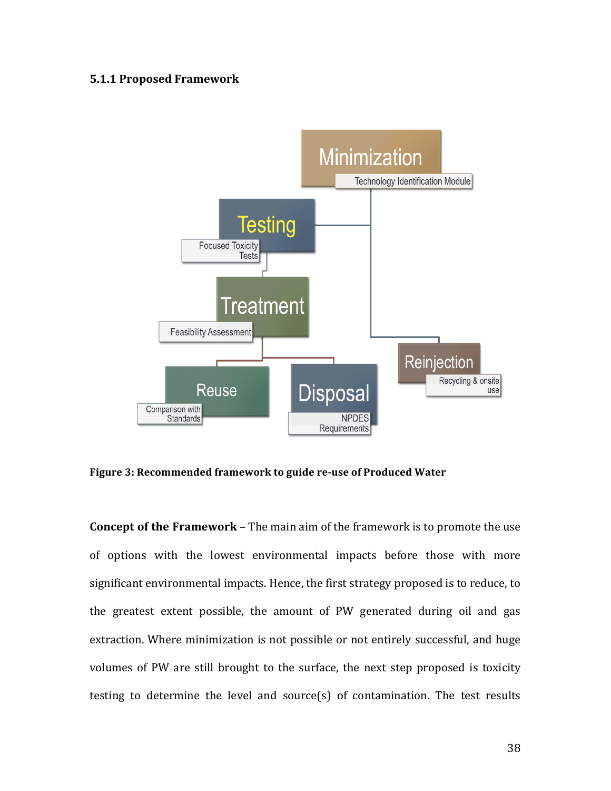# **5.1.1 Proposed Framework**



Figure 3: Recommended framework to guide re-use of Produced Water

**Concept of the Framework** – The main aim of the framework is to promote the use of options with the lowest environmental impacts before those with more significant environmental impacts. Hence, the first strategy proposed is to reduce, to the greatest extent possible, the amount of PW generated during oil and gas extraction. Where minimization is not possible or not entirely successful, and huge volumes of PW are still brought to the surface, the next step proposed is toxicity testing to determine the level and source(s) of contamination. The test results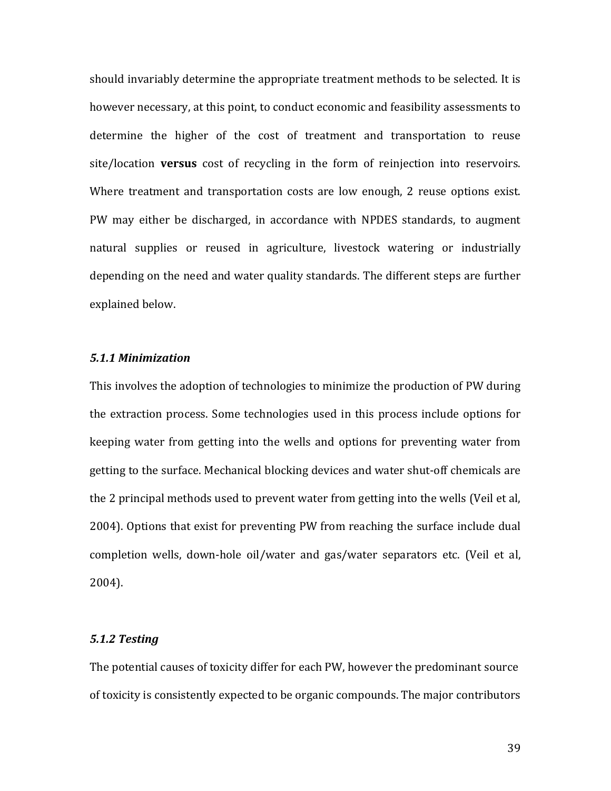should invariably determine the appropriate treatment methods to be selected. It is however necessary, at this point, to conduct economic and feasibility assessments to determine the higher of the cost of treatment and transportation to reuse site/location **versus** cost of recycling in the form of reinjection into reservoirs. Where treatment and transportation costs are low enough, 2 reuse options exist. PW may either be discharged, in accordance with NPDES standards, to augment natural supplies or reused in agriculture, livestock watering or industrially depending on the need and water quality standards. The different steps are further explained below.

## *5.1.1!Minimization*

This involves the adoption of technologies to minimize the production of PW during the extraction process. Some technologies used in this process include options for keeping water from getting into the wells and options for preventing water from getting to the surface. Mechanical blocking devices and water shut-off chemicals are the 2 principal methods used to prevent water from getting into the wells (Veil et al, 2004). Options that exist for preventing PW from reaching the surface include dual completion wells, down-hole oil/water and gas/water separators etc. (Veil et al, 2004).

# *5.1.2!Testing!*

The potential causes of toxicity differ for each PW, however the predominant source of toxicity is consistently expected to be organic compounds. The major contributors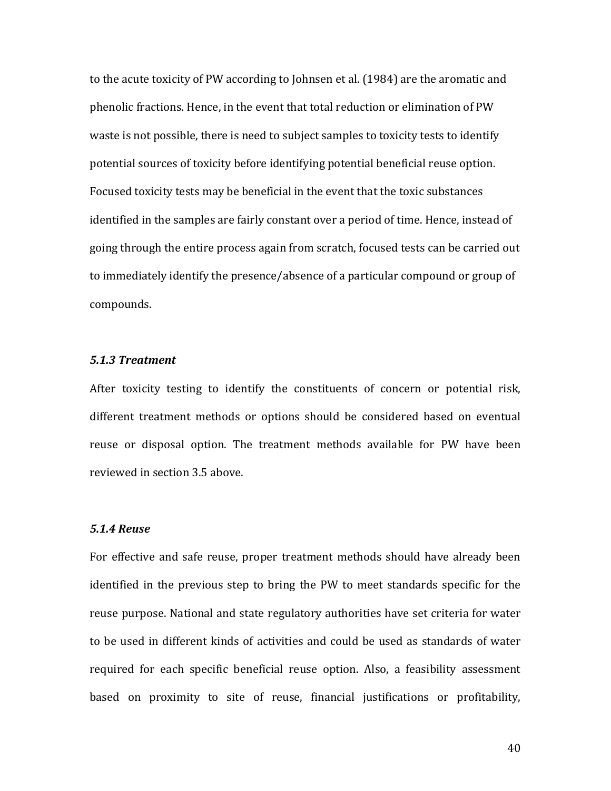to the acute toxicity of PW according to Johnsen et al. (1984) are the aromatic and phenolic fractions. Hence, in the event that total reduction or elimination of PW waste is not possible, there is need to subject samples to toxicity tests to identify potential sources of toxicity before identifying potential beneficial reuse option. Focused toxicity tests may be beneficial in the event that the toxic substances identified in the samples are fairly constant over a period of time. Hence, instead of going through the entire process again from scratch, focused tests can be carried out to immediately identify the presence/absence of a particular compound or group of compounds.

#### *5.1.3!Treatment*

After toxicity testing to identify the constituents of concern or potential risk, different treatment methods or options should be considered based on eventual reuse or disposal option. The treatment methods available for PW have been reviewed in section 3.5 above.

# *5.1.4!Reuse*

For effective and safe reuse, proper treatment methods should have already been identified in the previous step to bring the PW to meet standards specific for the reuse purpose. National and state regulatory authorities have set criteria for water to be used in different kinds of activities and could be used as standards of water required for each specific beneficial reuse option. Also, a feasibility assessment based on proximity to site of reuse, financial justifications or profitability,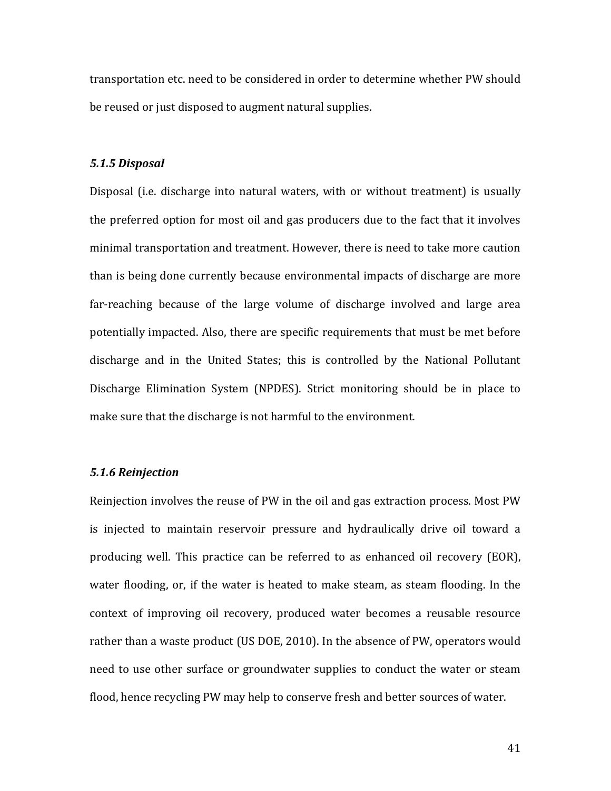transportation etc. need to be considered in order to determine whether PW should be reused or just disposed to augment natural supplies.

#### *5.1.5!Disposal*

Disposal (i.e. discharge into natural waters, with or without treatment) is usually the preferred option for most oil and gas producers due to the fact that it involves minimal transportation and treatment. However, there is need to take more caution than is being done currently because environmental impacts of discharge are more far-reaching because of the large volume of discharge involved and large area potentially impacted. Also, there are specific requirements that must be met before discharge and in the United States; this is controlled by the National Pollutant Discharge Elimination System (NPDES). Strict monitoring should be in place to make sure that the discharge is not harmful to the environment.

#### 5.1.6 Reinjection

Reinjection involves the reuse of PW in the oil and gas extraction process. Most PW is injected to maintain reservoir pressure and hydraulically drive oil toward a producing well. This practice can be referred to as enhanced oil recovery (EOR), water flooding, or, if the water is heated to make steam, as steam flooding. In the context of improving oil recovery, produced water becomes a reusable resource rather than a waste product (US DOE, 2010). In the absence of PW, operators would need to use other surface or groundwater supplies to conduct the water or steam flood, hence recycling PW may help to conserve fresh and better sources of water.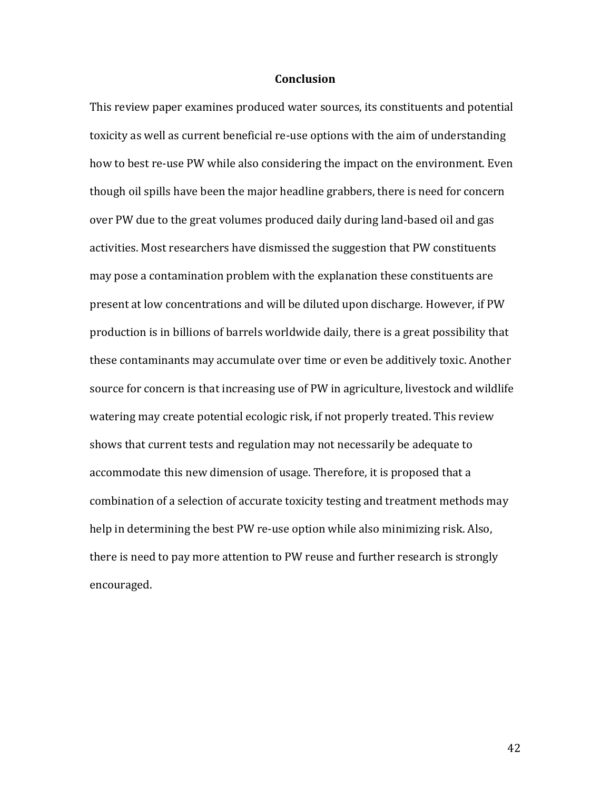### **Conclusion**

This review paper examines produced water sources, its constituents and potential toxicity as well as current beneficial re-use options with the aim of understanding how to best re-use PW while also considering the impact on the environment. Even though oil spills have been the major headline grabbers, there is need for concern over PW due to the great volumes produced daily during land-based oil and gas activities. Most researchers have dismissed the suggestion that PW constituents may pose a contamination problem with the explanation these constituents are present at low concentrations and will be diluted upon discharge. However, if PW production is in billions of barrels worldwide daily, there is a great possibility that these contaminants may accumulate over time or even be additively toxic. Another source for concern is that increasing use of PW in agriculture, livestock and wildlife watering may create potential ecologic risk, if not properly treated. This review shows that current tests and regulation may not necessarily be adequate to accommodate this new dimension of usage. Therefore, it is proposed that a combination of a selection of accurate toxicity testing and treatment methods may help in determining the best PW re-use option while also minimizing risk. Also, there is need to pay more attention to PW reuse and further research is strongly encouraged.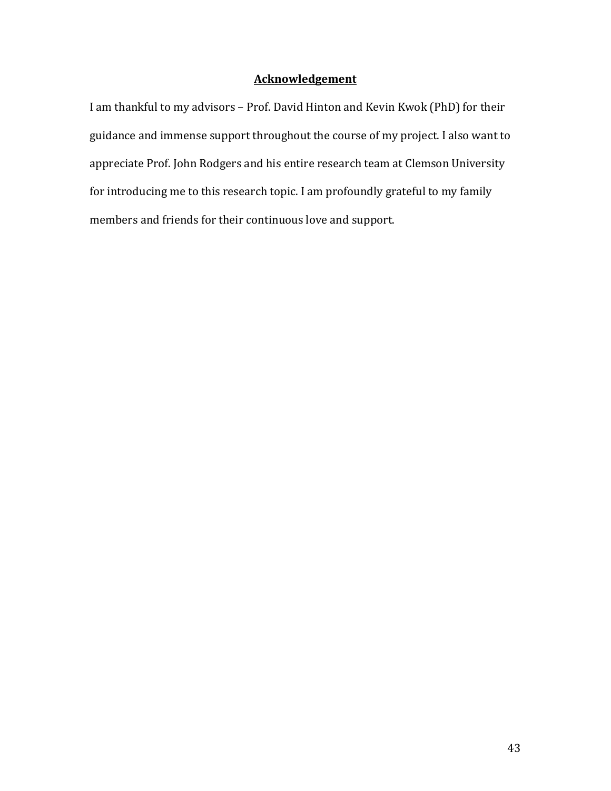# **Acknowledgement**

I am thankful to my advisors – Prof. David Hinton and Kevin Kwok (PhD) for their guidance and immense support throughout the course of my project. I also want to appreciate Prof. John Rodgers and his entire research team at Clemson University for introducing me to this research topic. I am profoundly grateful to my family members and friends for their continuous love and support.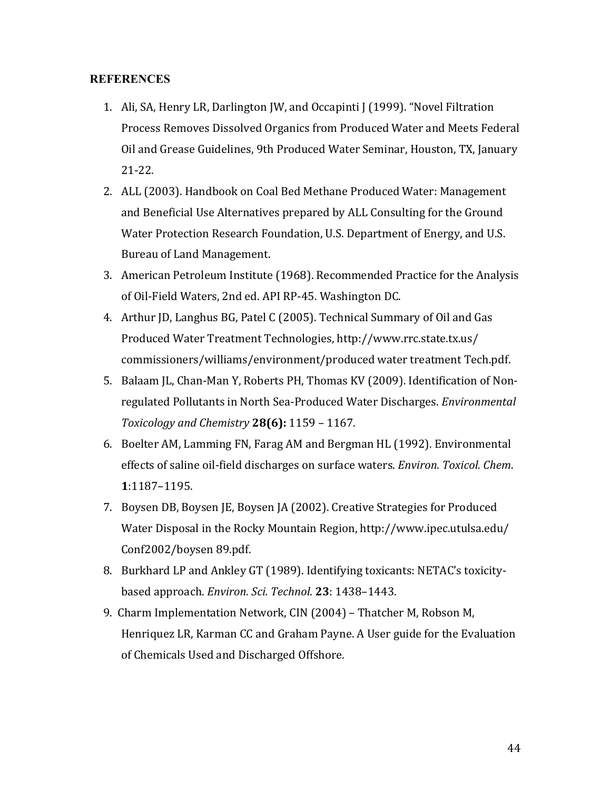# **REFERENCES**

- 1. Ali, SA, Henry LR, Darlington JW, and Occapinti J (1999). "Novel Filtration Process Removes Dissolved Organics from Produced Water and Meets Federal Oil and Grease Guidelines, 9th Produced Water Seminar, Houston, TX, January 21-22.
- 2. ALL (2003). Handbook on Coal Bed Methane Produced Water: Management and Beneficial Use Alternatives prepared by ALL Consulting for the Ground Water Protection Research Foundation, U.S. Department of Energy, and U.S. Bureau of Land Management.
- 3. American Petroleum Institute (1968). Recommended Practice for the Analysis of Oil-Field Waters, 2nd ed. API RP-45. Washington DC.
- 4. Arthur JD, Langhus BG, Patel C (2005). Technical Summary of Oil and Gas Produced Water Treatment Technologies, http://www.rrc.state.tx.us/ commissioners/williams/environment/produced water treatment Tech.pdf.
- 5. Balaam JL, Chan-Man Y, Roberts PH, Thomas KV (2009). Identification of Nonregulated Pollutants in North Sea-Produced Water Discharges. *Environmental Toxicology and Chemistry* **28(6):** 1159 - 1167.
- 6. Boelter AM, Lamming FN, Farag AM and Bergman HL (1992). Environmental effects of saline oil-field discharges on surface waters. *Environ. Toxicol. Chem.* **1**:1187–1195.
- 7. Boysen DB, Boysen JE, Boysen JA (2002). Creative Strategies for Produced Water Disposal in the Rocky Mountain Region, http://www.ipec.utulsa.edu/ Conf2002/boysen 89.pdf.
- 8. Burkhard LP and Ankley GT (1989). Identifying toxicants: NETAC's toxicitybased approach. *Environ. Sci. Technol*. **23**: 1438-1443.
- 9. Charm Implementation Network, CIN (2004) Thatcher M, Robson M, Henriquez LR, Karman CC and Graham Payne. A User guide for the Evaluation of Chemicals Used and Discharged Offshore.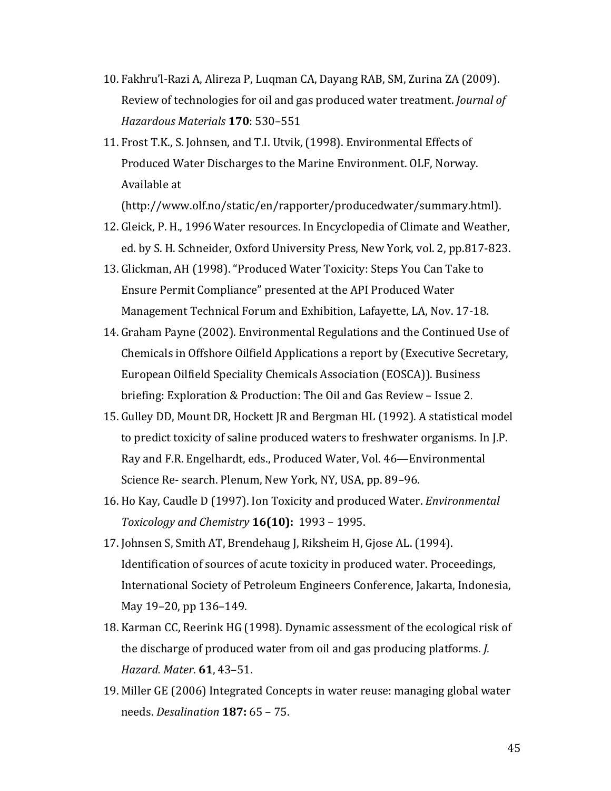- 10. Fakhru'l-Razi A, Alireza P, Luqman CA, Dayang RAB, SM, Zurina ZA (2009). Review of technologies for oil and gas produced water treatment. *Journal of* **Hazardous Materials 170: 530-551**
- 11. Frost T.K., S. Johnsen, and T.I. Utvik, (1998). Environmental Effects of Produced Water Discharges to the Marine Environment. OLF, Norway. Available at

(http://www.olf.no/static/en/rapporter/producedwater/summary.html).

- 12. Gleick, P. H., 1996 Water resources. In Encyclopedia of Climate and Weather, ed. by S. H. Schneider, Oxford University Press, New York, vol. 2, pp.817-823.
- 13. Glickman, AH (1998). "Produced Water Toxicity: Steps You Can Take to Ensure Permit Compliance" presented at the API Produced Water Management Technical Forum and Exhibition, Lafayette, LA, Nov. 17-18.
- 14. Graham Payne (2002). Environmental Regulations and the Continued Use of Chemicals in Offshore Oilfield Applications a report by (Executive Secretary, European Oilfield Speciality Chemicals Association (EOSCA)). Business briefing: Exploration & Production: The Oil and Gas Review – Issue 2.
- 15. Gulley DD, Mount DR, Hockett JR and Bergman HL (1992). A statistical model to predict toxicity of saline produced waters to freshwater organisms. In J.P. Ray and F.R. Engelhardt, eds., Produced Water, Vol. 46—Environmental Science Re- search. Plenum, New York, NY, USA, pp. 89–96.
- 16. Ho Kay, Caudle D (1997). Ion Toxicity and produced Water. *Environmental Toxicology and Chemistry* **16(10):** 1993 - 1995.
- 17. Johnsen S, Smith AT, Brendehaug J, Riksheim H, Gjose AL. (1994). Identification of sources of acute toxicity in produced water. Proceedings, International Society of Petroleum Engineers Conference, Jakarta, Indonesia, May 19–20, pp 136–149.
- 18. Karman CC, Reerink HG (1998). Dynamic assessment of the ecological risk of the discharge of produced water from oil and gas producing platforms. *J. Hazard.!Mater*. **61**,!43–51.
- 19. Miller GE (2006) Integrated Concepts in water reuse: managing global water needs. *Desalination* **187:** 65 – 75.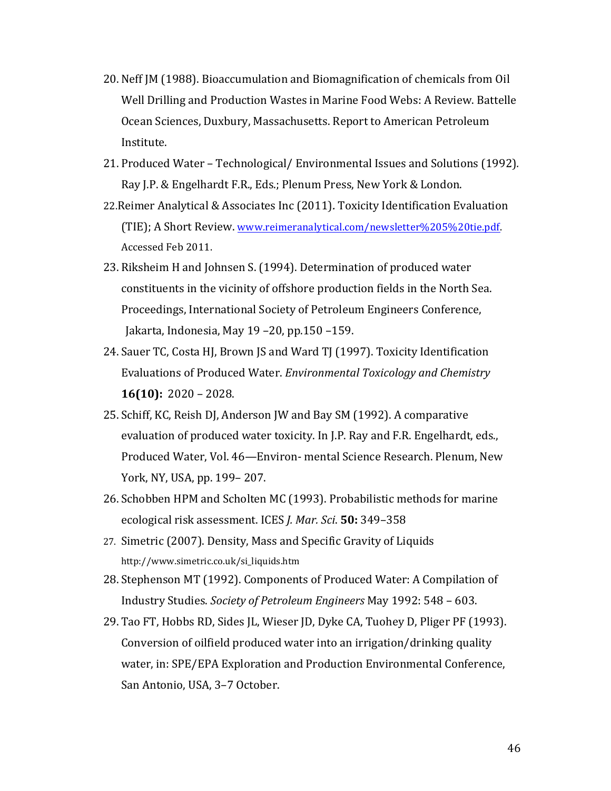- 20. Neff JM (1988). Bioaccumulation and Biomagnification of chemicals from Oil Well Drilling and Production Wastes in Marine Food Webs: A Review. Battelle Ocean Sciences, Duxbury, Massachusetts. Report to American Petroleum Institute.
- 21. Produced Water Technological/ Environmental Issues and Solutions (1992). Ray J.P. & Engelhardt F.R., Eds.; Plenum Press, New York & London.
- 22.Reimer Analytical & Associates Inc (2011). Toxicity Identification Evaluation (TIE); A Short Review. www.reimeranalytical.com/newsletter%205%20tie.pdf. Accessed Feb 2011.
- 23. Riksheim H and Johnsen S. (1994). Determination of produced water constituents in the vicinity of offshore production fields in the North Sea. Proceedings, International Society of Petroleum Engineers Conference, Jakarta, Indonesia, May  $19 - 20$ , pp.150 –159.
- 24. Sauer TC, Costa HJ, Brown JS and Ward TJ (1997). Toxicity Identification Evaluations of Produced Water. *Environmental Toxicology and Chemistry* **16(10):** 2020 – 2028.
- 25. Schiff, KC, Reish DJ, Anderson JW and Bay SM (1992). A comparative evaluation of produced water toxicity. In J.P. Ray and F.R. Engelhardt, eds., Produced Water, Vol. 46—Environ- mental Science Research. Plenum, New York, NY, USA, pp. 199-207.
- 26. Schobben HPM and Scholten MC (1993). Probabilistic methods for marine ecological!risk!assessment.!ICES!*J.!Mar.!Sci*.!**50:!**349–358
- 27. Simetric (2007). Density, Mass and Specific Gravity of Liquids http://www.simetric.co.uk/si\_liquids.htm
- 28. Stephenson MT (1992). Components of Produced Water: A Compilation of Industry Studies. *Society of Petroleum Engineers May* 1992: 548 – 603.
- 29. Tao FT, Hobbs RD, Sides JL, Wieser JD, Dyke CA, Tuohey D, Pliger PF (1993). Conversion of oilfield produced water into an irrigation/drinking quality water, in: SPE/EPA Exploration and Production Environmental Conference, San Antonio, USA, 3-7 October.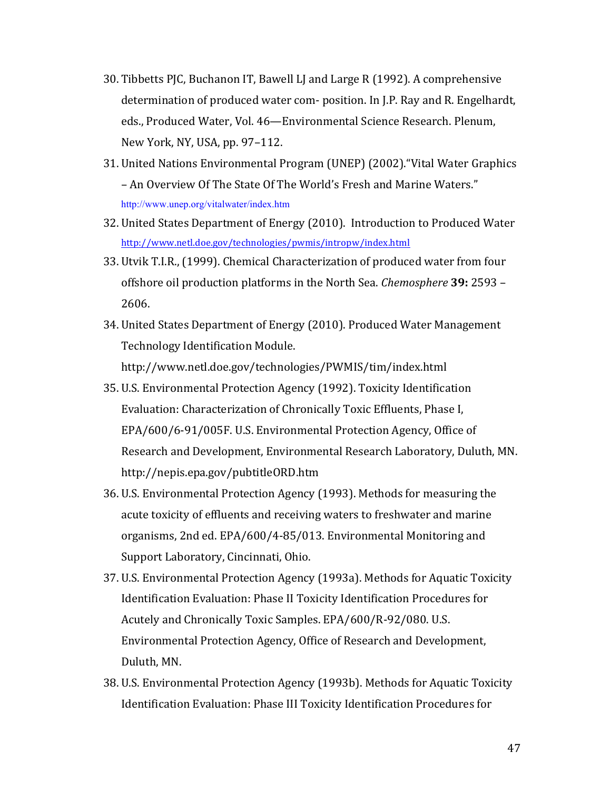- 30. Tibbetts PJC, Buchanon IT, Bawell LJ and Large R (1992). A comprehensive determination of produced water com- position. In J.P. Ray and R. Engelhardt, eds., Produced Water, Vol. 46—Environmental Science Research. Plenum, New York, NY, USA, pp. 97-112.
- 31. United Nations Environmental Program (UNEP) (2002). "Vital Water Graphics" – An Overview Of The State Of The World's Fresh and Marine Waters." http://www.unep.org/vitalwater/index.htm
- 32. United States Department of Energy (2010). Introduction to Produced Water http://www.netl.doe.gov/technologies/pwmis/intropw/index.html
- 33. Utvik T.I.R., (1999). Chemical Characterization of produced water from four offshore oil production platforms in the North Sea. *Chemosphere* **39:** 2593 – 2606.
- 34. United States Department of Energy (2010). Produced Water Management Technology Identification Module. http://www.netl.doe.gov/technologies/PWMIS/tim/index.html
- 35. U.S. Environmental Protection Agency (1992). Toxicity Identification Evaluation: Characterization of Chronically Toxic Effluents, Phase I, EPA/600/6-91/005F. U.S. Environmental Protection Agency, Office of Research and Development, Environmental Research Laboratory, Duluth, MN. http://nepis.epa.gov/pubtitleORD.htm
- 36. U.S. Environmental Protection Agency (1993). Methods for measuring the acute toxicity of effluents and receiving waters to freshwater and marine organisms, 2nd ed. EPA/600/4-85/013. Environmental Monitoring and Support Laboratory, Cincinnati, Ohio.
- 37. U.S. Environmental Protection Agency (1993a). Methods for Aquatic Toxicity Identification Evaluation: Phase II Toxicity Identification Procedures for Acutely and Chronically Toxic Samples. EPA/600/R-92/080. U.S. Environmental Protection Agency, Office of Research and Development, Duluth, MN.
- 38. U.S. Environmental Protection Agency (1993b). Methods for Aquatic Toxicity Identification Evaluation: Phase III Toxicity Identification Procedures for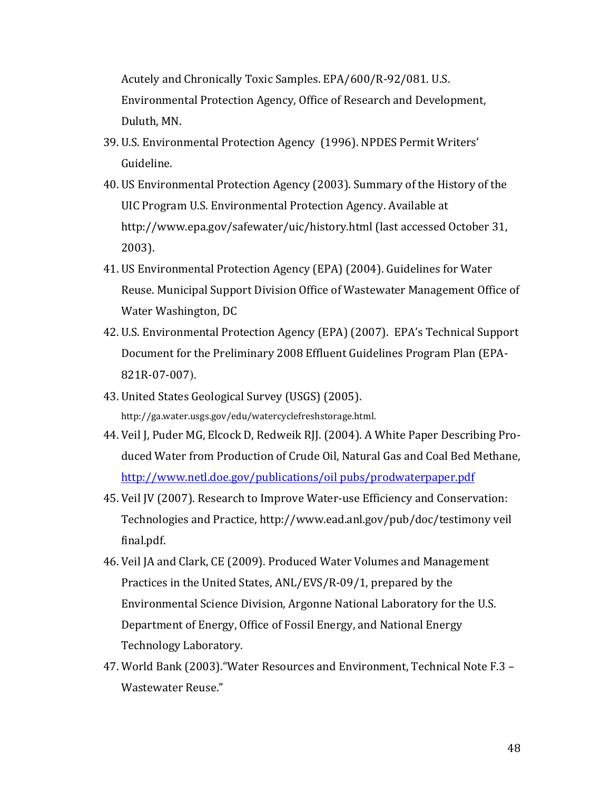Acutely and Chronically Toxic Samples. EPA/600/R-92/081. U.S.

Environmental Protection Agency, Office of Research and Development, Duluth, MN.

- 39. U.S. Environmental Protection Agency (1996). NPDES Permit Writers' Guideline.
- 40. US Environmental Protection Agency (2003). Summary of the History of the UIC Program U.S. Environmental Protection Agency. Available at http://www.epa.gov/safewater/uic/history.html (last accessed October 31, 2003).
- 41. US Environmental Protection Agency (EPA) (2004). Guidelines for Water Reuse. Municipal Support Division Office of Wastewater Management Office of Water Washington, DC
- 42. U.S. Environmental Protection Agency (EPA) (2007). EPA's Technical Support Document for the Preliminary 2008 Effluent Guidelines Program Plan (EPA-821R-07-007).
- 43. United States Geological Survey (USGS) (2005). http://ga.water.usgs.gov/edu/watercyclefreshstorage.html.
- 44. Veil J, Puder MG, Elcock D, Redweik RJJ. (2004). A White Paper Describing Produced Water from Production of Crude Oil, Natural Gas and Coal Bed Methane, http://www.netl.doe.gov/publications/oil pubs/prodwaterpaper.pdf
- 45. Veil JV (2007). Research to Improve Water-use Efficiency and Conservation: Technologies and Practice, http://www.ead.anl.gov/pub/doc/testimony veil final.pdf.
- 46. Veil JA and Clark, CE (2009). Produced Water Volumes and Management Practices in the United States, ANL/EVS/R-09/1, prepared by the Environmental Science Division, Argonne National Laboratory for the U.S. Department of Energy, Office of Fossil Energy, and National Energy Technology Laboratory.
- 47. World Bank (2003). "Water Resources and Environment, Technical Note F.3 Wastewater Reuse."